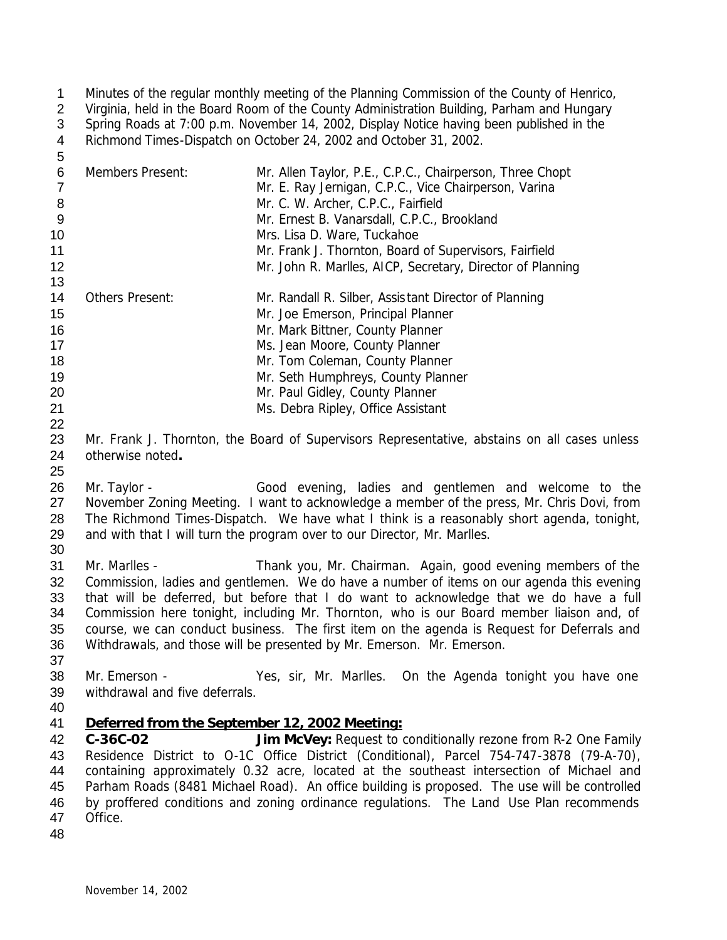Minutes of the regular monthly meeting of the Planning Commission of the County of Henrico, Virginia, held in the Board Room of the County Administration Building, Parham and Hungary Spring Roads at 7:00 p.m. November 14, 2002, Display Notice having been published in the Richmond Times-Dispatch on October 24, 2002 and October 31, 2002.

| 6  | <b>Members Present:</b> | Mr. Allen Taylor, P.E., C.P.C., Chairperson, Three Chopt   |
|----|-------------------------|------------------------------------------------------------|
|    |                         | Mr. E. Ray Jernigan, C.P.C., Vice Chairperson, Varina      |
| 8  |                         | Mr. C. W. Archer, C.P.C., Fairfield                        |
| 9  |                         | Mr. Ernest B. Vanarsdall, C.P.C., Brookland                |
| 10 |                         | Mrs. Lisa D. Ware, Tuckahoe                                |
| 11 |                         | Mr. Frank J. Thornton, Board of Supervisors, Fairfield     |
| 12 |                         | Mr. John R. Marlles, AICP, Secretary, Director of Planning |
| 13 |                         |                                                            |
| 14 | <b>Others Present:</b>  | Mr. Randall R. Silber, Assistant Director of Planning      |
| 15 |                         | Mr. Joe Emerson, Principal Planner                         |
| 16 |                         | Mr. Mark Bittner, County Planner                           |
| 17 |                         | Ms. Jean Moore, County Planner                             |
| 18 |                         | Mr. Tom Coleman, County Planner                            |
| 19 |                         | Mr. Seth Humphreys, County Planner                         |
| 20 |                         | Mr. Paul Gidley, County Planner                            |
| 21 |                         | Ms. Debra Ripley, Office Assistant                         |

23 Mr. Frank J. Thornton, the Board of Supervisors Representative, abstains on all cases unless otherwise noted**.**

26 Mr. Taylor - Good evening, ladies and gentlemen and welcome to the 27 November Zoning Meeting. I want to acknowledge a member of the press, Mr. Chris Dovi, from *The Richmond Times-Dispatch*. We have what I think is a reasonably short agenda, tonight, 29 and with that I will turn the program over to our Director, Mr. Marlles. 

 Mr. Marlles - Thank you, Mr. Chairman. Again, good evening members of the Commission, ladies and gentlemen. We do have a number of items on our agenda this evening that will be deferred, but before that I do want to acknowledge that we do have a full Commission here tonight, including Mr. Thornton, who is our Board member liaison and, of course, we can conduct business. The first item on the agenda is Request for Deferrals and Withdrawals, and those will be presented by Mr. Emerson. Mr. Emerson.

 Mr. Emerson - Yes, sir, Mr. Marlles. On the Agenda tonight you have one withdrawal and five deferrals.

## *Deferred from the September 12, 2002 Meeting:*

 **C-36C-02 Jim McVey:** Request to conditionally rezone from R-2 One Family Residence District to O-1C Office District (Conditional), Parcel 754-747-3878 (79-A-70), containing approximately 0.32 acre, located at the southeast intersection of Michael and Parham Roads (8481 Michael Road). An office building is proposed. The use will be controlled by proffered conditions and zoning ordinance regulations. The Land Use Plan recommends Office.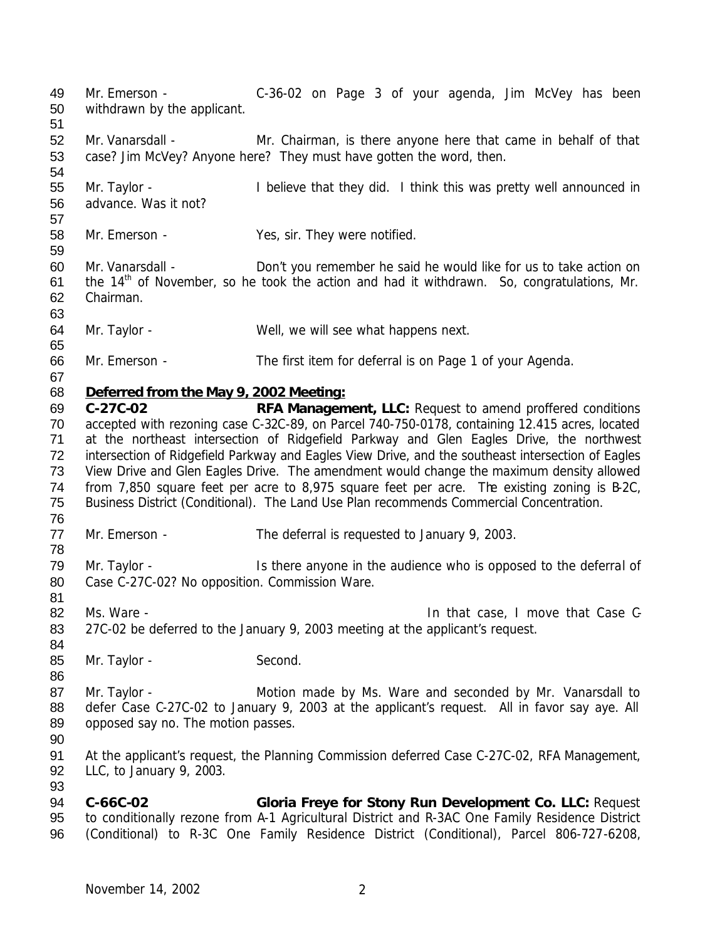Mr. Emerson - C-36-02 on Page 3 of your agenda, Jim McVey has been withdrawn by the applicant. Mr. Vanarsdall - Mr. Chairman, is there anyone here that came in behalf of that case? Jim McVey? Anyone here? They must have gotten the word, then. Mr. Taylor - I believe that they did. I think this was pretty well announced in advance. Was it not? Mr. Emerson - Yes, sir. They were notified. Mr. Vanarsdall - Don't you remember he said he would like for us to take action on 61 the  $14<sup>th</sup>$  of November, so he took the action and had it withdrawn. So, congratulations, Mr. Chairman. Mr. Taylor - Well, we will see what happens next. Mr. Emerson - The first item for deferral is on Page 1 of your Agenda. *Deferred from the May 9, 2002 Meeting:* **C-27C-02 RFA Management, LLC:** Request to amend proffered conditions accepted with rezoning case C-32C-89, on Parcel 740-750-0178, containing 12.415 acres, located at the northeast intersection of Ridgefield Parkway and Glen Eagles Drive, the northwest intersection of Ridgefield Parkway and Eagles View Drive, and the southeast intersection of Eagles View Drive and Glen Eagles Drive. The amendment would change the maximum density allowed from 7,850 square feet per acre to 8,975 square feet per acre. The existing zoning is B-2C, Business District (Conditional). The Land Use Plan recommends Commercial Concentration. 77 Mr. Emerson - The deferral is requested to January 9, 2003. Mr. Taylor - Is there anyone in the audience who is opposed to the deferral of Case C-27C-02? No opposition. Commission Ware. 82 Ms. Ware - **In that case, I move that Case C- In that case, I move that Case C-** 27C-02 be deferred to the January 9, 2003 meeting at the applicant's request. 85 Mr. Taylor - Second. 87 Mr. Taylor - Motion made by Ms. Ware and seconded by Mr. Vanarsdall to defer Case C-27C-02 to January 9, 2003 at the applicant's request. All in favor say aye. All 89 opposed say no. The motion passes. At the applicant's request, the Planning Commission deferred Case C-27C-02, RFA Management, LLC, to January 9, 2003. **C-66C-02 Gloria Freye for Stony Run Development Co. LLC:** Request to conditionally rezone from A-1 Agricultural District and R-3AC One Family Residence District (Conditional) to R-3C One Family Residence District (Conditional), Parcel 806-727-6208,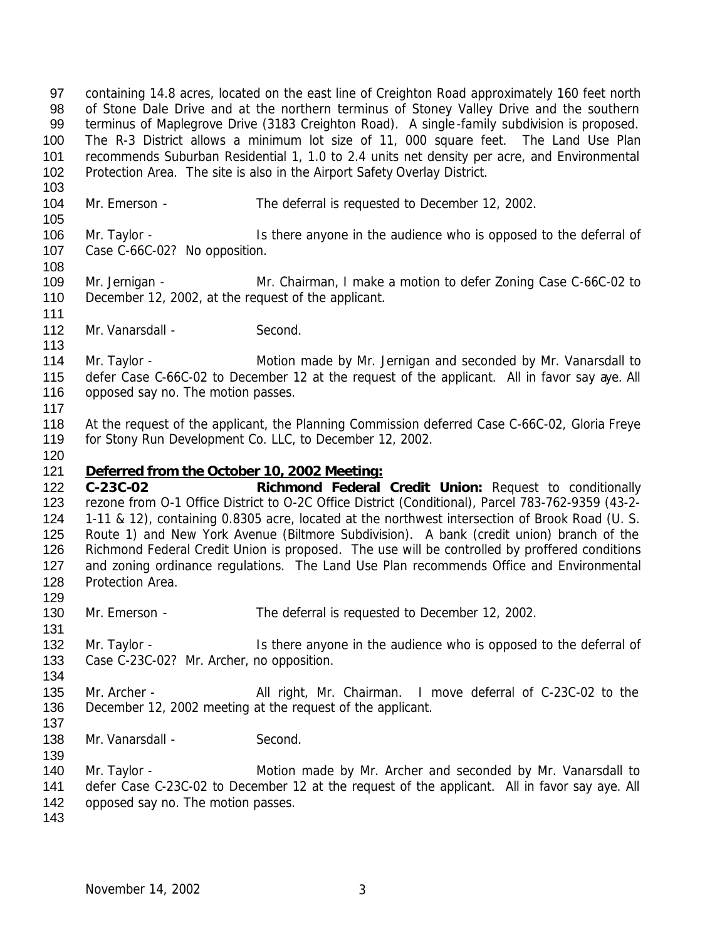containing 14.8 acres, located on the east line of Creighton Road approximately 160 feet north of Stone Dale Drive and at the northern terminus of Stoney Valley Drive and the southern terminus of Maplegrove Drive (3183 Creighton Road). A single-family subdivision is proposed. The R-3 District allows a minimum lot size of 11, 000 square feet. The Land Use Plan recommends Suburban Residential 1, 1.0 to 2.4 units net density per acre, and Environmental Protection Area. The site is also in the Airport Safety Overlay District.

- Mr. Emerson The deferral is requested to December 12, 2002.
- 106 Mr. Taylor Is there anyone in the audience who is opposed to the deferral of Case C-66C-02? No opposition.
- Mr. Jernigan Mr. Chairman, I make a motion to defer Zoning Case C-66C-02 to December 12, 2002, at the request of the applicant.
- 112 Mr. Vanarsdall Second.

114 Mr. Taylor - **Motion made by Mr. Jernigan and seconded by Mr. Vanarsdall to**  defer Case C-66C-02 to December 12 at the request of the applicant. All in favor say aye. All 116 opposed say no. The motion passes.

118 At the request of the applicant, the Planning Commission deferred Case C-66C-02, Gloria Freye for Stony Run Development Co. LLC, to December 12, 2002.

## *Deferred from the October 10, 2002 Meeting:*

 **C-23C-02 Richmond Federal Credit Union:** Request to conditionally rezone from O-1 Office District to O-2C Office District (Conditional), Parcel 783-762-9359 (43-2- 1-11 & 12), containing 0.8305 acre, located at the northwest intersection of Brook Road (U. S. Route 1) and New York Avenue (Biltmore Subdivision). A bank (credit union) branch of the Richmond Federal Credit Union is proposed. The use will be controlled by proffered conditions 127 and zoning ordinance regulations. The Land Use Plan recommends Office and Environmental Protection Area. 

Mr. Emerson - The deferral is requested to December 12, 2002.

132 Mr. Taylor - Is there anyone in the audience who is opposed to the deferral of Case C-23C-02? Mr. Archer, no opposition.

135 Mr. Archer - All right, Mr. Chairman. I move deferral of C-23C-02 to the December 12, 2002 meeting at the request of the applicant. 

138 Mr. Vanarsdall - Second.

140 Mr. Taylor - **Motion made by Mr. Archer and seconded by Mr. Vanarsdall to**  defer Case C-23C-02 to December 12 at the request of the applicant. All in favor say aye. All 142 opposed say no. The motion passes.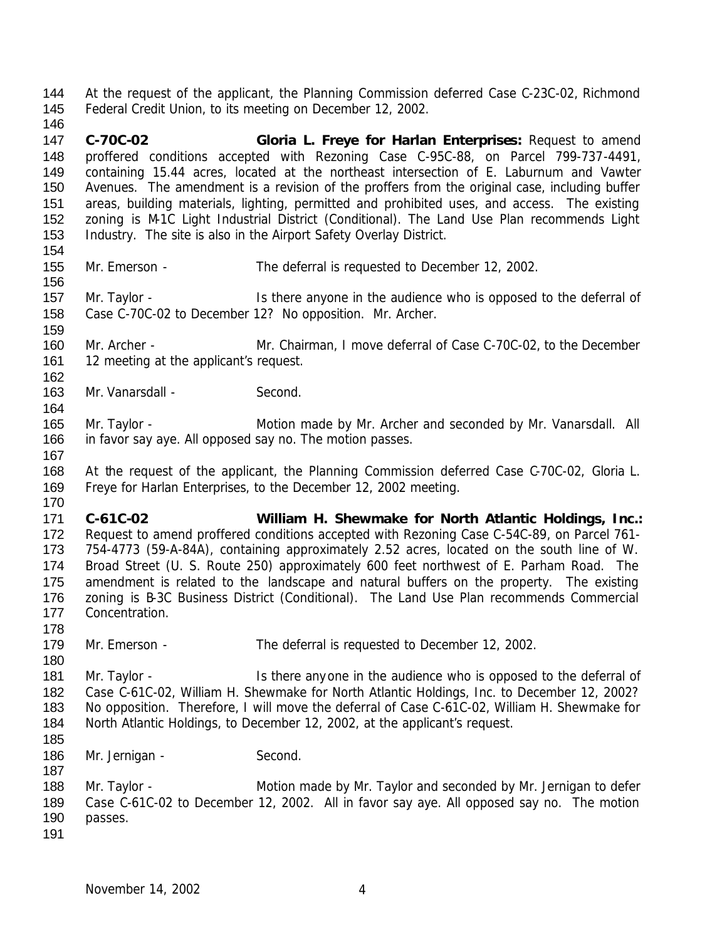At the request of the applicant, the Planning Commission deferred Case C-23C-02, Richmond Federal Credit Union, to its meeting on December 12, 2002.

- **C-70C-02 Gloria L. Freye for Harlan Enterprises:** Request to amend proffered conditions accepted with Rezoning Case C-95C-88, on Parcel 799-737-4491, containing 15.44 acres, located at the northeast intersection of E. Laburnum and Vawter Avenues. The amendment is a revision of the proffers from the original case, including buffer areas, building materials, lighting, permitted and prohibited uses, and access. The existing zoning is M-1C Light Industrial District (Conditional). The Land Use Plan recommends Light Industry. The site is also in the Airport Safety Overlay District.
- 

- Mr. Emerson The deferral is requested to December 12, 2002.
- 157 Mr. Taylor Is there anyone in the audience who is opposed to the deferral of Case C-70C-02 to December 12? No opposition. Mr. Archer.
- Mr. Archer Mr. Chairman, I move deferral of Case C-70C-02, to the December 161 12 meeting at the applicant's request.
- 163 Mr. Vanarsdall Second.
- 165 Mr. Taylor **Motion made by Mr. Archer and seconded by Mr. Vanarsdall.** All in favor say aye. All opposed say no. The motion passes.
- 
- At the request of the applicant, the Planning Commission deferred Case C-70C-02, Gloria L. Freye for Harlan Enterprises, to the December 12, 2002 meeting.
- 
- **C-61C-02 William H. Shewmake for North Atlantic Holdings, Inc.:** Request to amend proffered conditions accepted with Rezoning Case C-54C-89, on Parcel 761- 754-4773 (59-A-84A), containing approximately 2.52 acres, located on the south line of W. Broad Street (U. S. Route 250) approximately 600 feet northwest of E. Parham Road. The amendment is related to the landscape and natural buffers on the property. The existing zoning is B-3C Business District (Conditional). The Land Use Plan recommends Commercial Concentration.
- Mr. Emerson The deferral is requested to December 12, 2002.
- 181 Mr. Taylor Is there any one in the audience who is opposed to the deferral of Case C-61C-02, William H. Shewmake for North Atlantic Holdings, Inc. to December 12, 2002? No opposition. Therefore, I will move the deferral of Case C-61C-02, William H. Shewmake for North Atlantic Holdings, to December 12, 2002, at the applicant's request.
- 

- 186 Mr. Jernigan Second.
- 188 Mr. Taylor Motion made by Mr. Taylor and seconded by Mr. Jernigan to defer Case C-61C-02 to December 12, 2002. All in favor say aye. All opposed say no. The motion passes.
-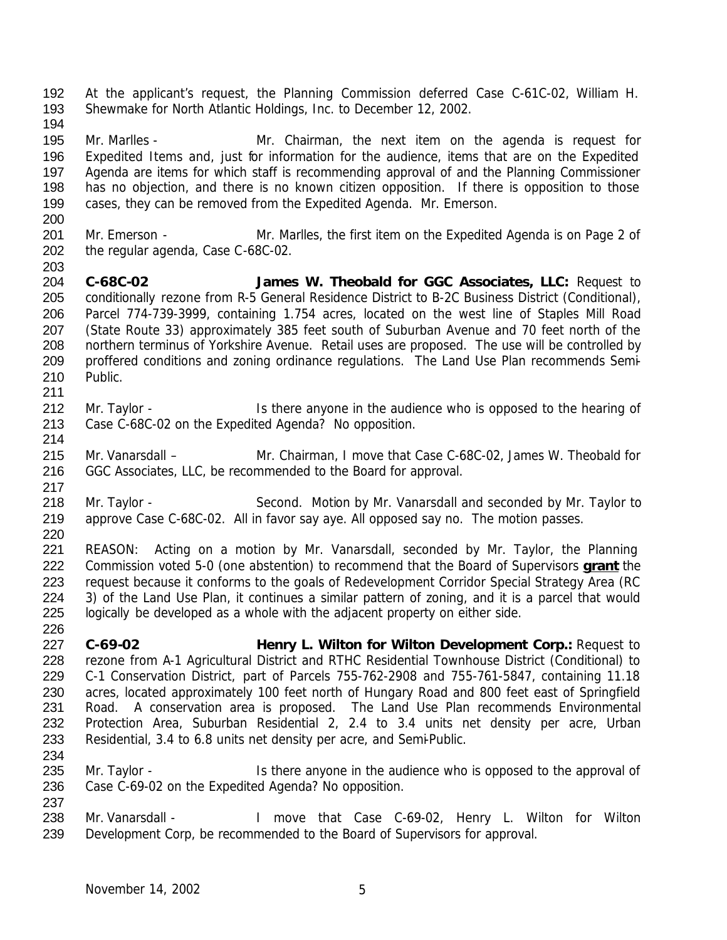At the applicant's request, the Planning Commission deferred Case C-61C-02, William H. Shewmake for North Atlantic Holdings, Inc. to December 12, 2002. Mr. Marlles - Mr. Chairman, the next item on the agenda is request for Expedited Items and, just for information for the audience, items that are on the Expedited Agenda are items for which staff is recommending approval of and the Planning Commissioner has no objection, and there is no known citizen opposition. If there is opposition to those cases, they can be removed from the Expedited Agenda. Mr. Emerson. 201 Mr. Emerson - Mr. Marlles, the first item on the Expedited Agenda is on Page 2 of the regular agenda, Case C-68C-02. **C-68C-02 James W. Theobald for GGC Associates, LLC:** Request to conditionally rezone from R-5 General Residence District to B-2C Business District (Conditional), Parcel 774-739-3999, containing 1.754 acres, located on the west line of Staples Mill Road (State Route 33) approximately 385 feet south of Suburban Avenue and 70 feet north of the northern terminus of Yorkshire Avenue. Retail uses are proposed. The use will be controlled by proffered conditions and zoning ordinance regulations. The Land Use Plan recommends Semi- Public. 212 Mr. Taylor - Is there anyone in the audience who is opposed to the hearing of Case C-68C-02 on the Expedited Agenda? No opposition. Mr. Vanarsdall – Mr. Chairman, I move that Case C-68C-02, James W. Theobald for GGC Associates, LLC, be recommended to the Board for approval. 218 Mr. Taylor - Second. Motion by Mr. Vanarsdall and seconded by Mr. Taylor to approve Case C-68C-02. All in favor say aye. All opposed say no. The motion passes. REASON: Acting on a motion by Mr. Vanarsdall, seconded by Mr. Taylor, the Planning Commission voted 5-0 (one abstention) to recommend that the Board of Supervisors **grant** the request because it conforms to the goals of Redevelopment Corridor Special Strategy Area (RC 3) of the Land Use Plan, it continues a similar pattern of zoning, and it is a parcel that would logically be developed as a whole with the adjacent property on either side. **C-69-02 Henry L. Wilton for Wilton Development Corp.:** Request to rezone from A-1 Agricultural District and RTHC Residential Townhouse District (Conditional) to C-1 Conservation District, part of Parcels 755-762-2908 and 755-761-5847, containing 11.18 acres, located approximately 100 feet north of Hungary Road and 800 feet east of Springfield Road. A conservation area is proposed. The Land Use Plan recommends Environmental Protection Area, Suburban Residential 2, 2.4 to 3.4 units net density per acre, Urban Residential, 3.4 to 6.8 units net density per acre, and Semi-Public. 235 Mr. Taylor - Is there anyone in the audience who is opposed to the approval of Case C-69-02 on the Expedited Agenda? No opposition. Mr. Vanarsdall - I move that Case C-69-02, Henry L. Wilton for Wilton Development Corp, be recommended to the Board of Supervisors for approval.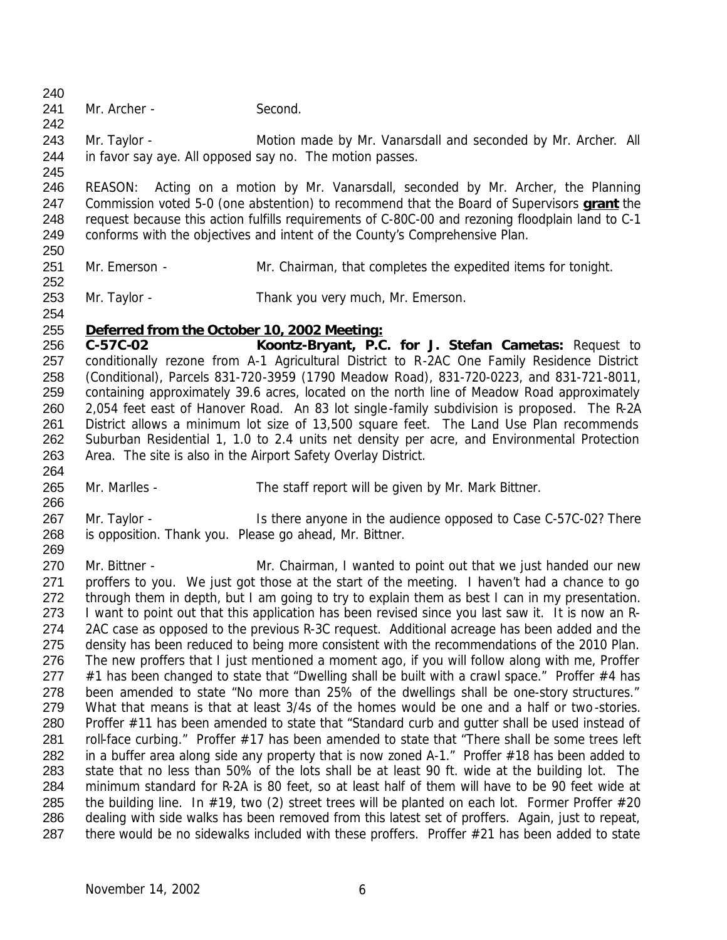241 Mr. Archer - Second.

 243 Mr. Taylor - Motion made by Mr. Vanarsdall and seconded by Mr. Archer. All in favor say aye. All opposed say no. The motion passes.

 REASON: Acting on a motion by Mr. Vanarsdall, seconded by Mr. Archer, the Planning Commission voted 5-0 (one abstention) to recommend that the Board of Supervisors **grant** the request because this action fulfills requirements of C-80C-00 and rezoning floodplain land to C-1 conforms with the objectives and intent of the County's Comprehensive Plan. 

- 251 Mr. Emerson Mr. Chairman, that completes the expedited items for tonight.
- Mr. Taylor Thank you very much, Mr. Emerson.
- *Deferred from the October 10, 2002 Meeting:*

 **C-57C-02 Koontz-Bryant, P.C. for J. Stefan Cametas:** Request to conditionally rezone from A-1 Agricultural District to R-2AC One Family Residence District (Conditional), Parcels 831-720-3959 (1790 Meadow Road), 831-720-0223, and 831-721-8011, containing approximately 39.6 acres, located on the north line of Meadow Road approximately 2,054 feet east of Hanover Road. An 83 lot single-family subdivision is proposed. The R-2A District allows a minimum lot size of 13,500 square feet. The Land Use Plan recommends Suburban Residential 1, 1.0 to 2.4 units net density per acre, and Environmental Protection Area. The site is also in the Airport Safety Overlay District.

- Mr. Marlles The staff report will be given by Mr. Mark Bittner.
- Mr. Taylor Is there anyone in the audience opposed to Case C-57C-02? There is opposition. Thank you. Please go ahead, Mr. Bittner.

270 Mr. Bittner - The Mr. Chairman, I wanted to point out that we just handed our new proffers to you. We just got those at the start of the meeting. I haven't had a chance to go through them in depth, but I am going to try to explain them as best I can in my presentation. 273 I want to point out that this application has been revised since you last saw it. It is now an R- 2AC case as opposed to the previous R-3C request. Additional acreage has been added and the density has been reduced to being more consistent with the recommendations of the 2010 Plan. The new proffers that I just mentioned a moment ago, if you will follow along with me, Proffer  $#1$  has been changed to state that "Dwelling shall be built with a crawl space." Proffer  $#4$  has been amended to state "No more than 25% of the dwellings shall be one-story structures." What that means is that at least 3/4s of the homes would be one and a half or two-stories. Proffer #11 has been amended to state that "Standard curb and gutter shall be used instead of 281 roll-face curbing." Proffer #17 has been amended to state that "There shall be some trees left in a buffer area along side any property that is now zoned A-1." Proffer #18 has been added to state that no less than 50% of the lots shall be at least 90 ft. wide at the building lot. The minimum standard for R-2A is 80 feet, so at least half of them will have to be 90 feet wide at 285 the building line. In  $\#19$ , two (2) street trees will be planted on each lot. Former Proffer  $\#20$  dealing with side walks has been removed from this latest set of proffers. Again, just to repeat, there would be no sidewalks included with these proffers. Proffer #21 has been added to state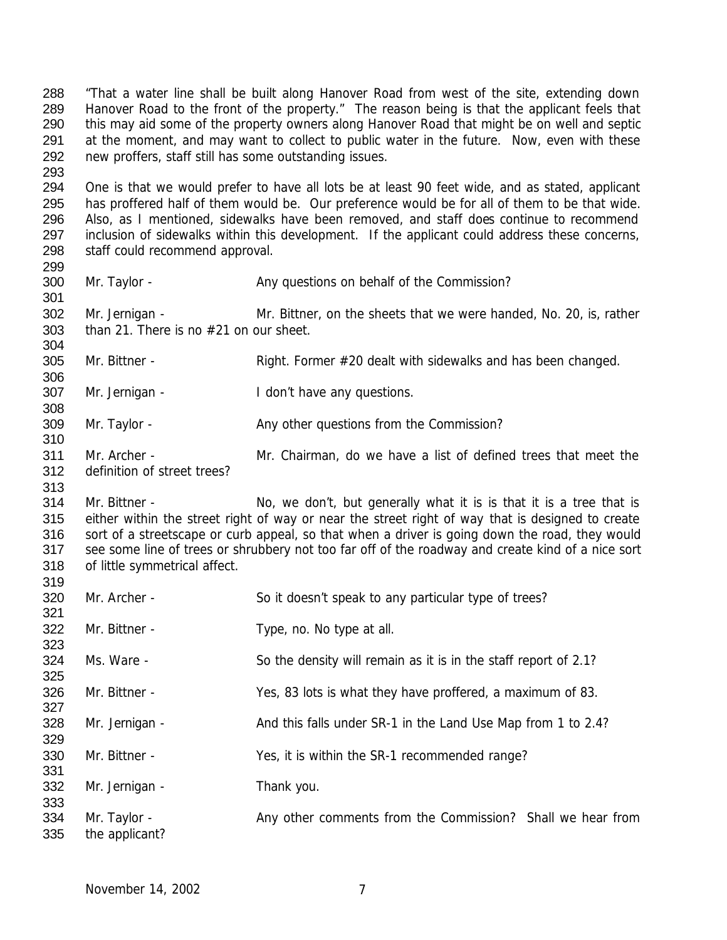"That a water line shall be built along Hanover Road from west of the site, extending down Hanover Road to the front of the property." The reason being is that the applicant feels that this may aid some of the property owners along Hanover Road that might be on well and septic 291 at the moment, and may want to collect to public water in the future. Now, even with these new proffers, staff still has some outstanding issues.

 One is that we would prefer to have all lots be at least 90 feet wide, and as stated, applicant has proffered half of them would be. Our preference would be for all of them to be that wide. Also, as I mentioned, sidewalks have been removed, and staff does continue to recommend 297 inclusion of sidewalks within this development. If the applicant could address these concerns, staff could recommend approval.

300 Mr. Taylor - Any questions on behalf of the Commission?

 Mr. Jernigan - Mr. Bittner, on the sheets that we were handed, No. 20, is, rather than 21. There is no #21 on our sheet. 

305 Mr. Bittner - Right. Former #20 dealt with sidewalks and has been changed.

Mr. Jernigan - I don't have any questions.

309 Mr. Taylor - Any other questions from the Commission?

 Mr. Archer - Mr. Chairman, do we have a list of defined trees that meet the definition of street trees?

314 Mr. Bittner - No, we don't, but generally what it is is that it is a tree that is either within the street right of way or near the street right of way that is designed to create sort of a streetscape or curb appeal, so that when a driver is going down the road, they would see some line of trees or shrubbery not too far off of the roadway and create kind of a nice sort of little symmetrical affect. 

| 320<br>321 | Mr. Archer -                   | So it doesn't speak to any particular type of trees?            |
|------------|--------------------------------|-----------------------------------------------------------------|
| 322<br>323 | Mr. Bittner -                  | Type, no. No type at all.                                       |
| 324<br>325 | Ms. Ware -                     | So the density will remain as it is in the staff report of 2.1? |
| 326<br>327 | Mr. Bittner -                  | Yes, 83 lots is what they have proffered, a maximum of 83.      |
| 328<br>329 | Mr. Jernigan -                 | And this falls under SR-1 in the Land Use Map from 1 to 2.4?    |
| 330<br>331 | Mr. Bittner -                  | Yes, it is within the SR-1 recommended range?                   |
| 332<br>333 | Mr. Jernigan -                 | Thank you.                                                      |
| 334<br>335 | Mr. Taylor -<br>the applicant? | Any other comments from the Commission? Shall we hear from      |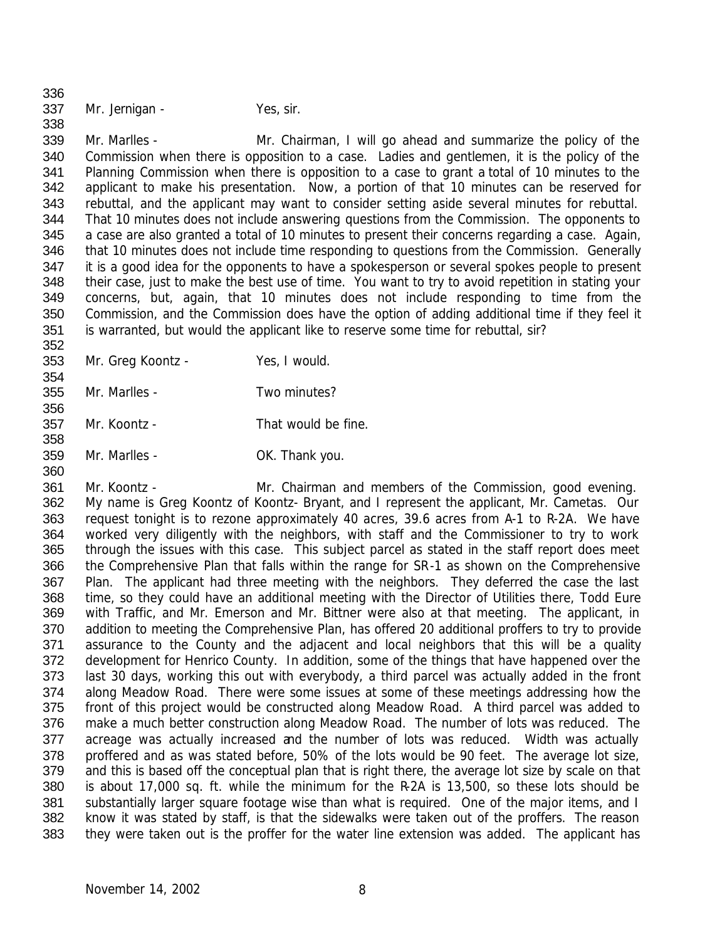Mr. Jernigan - Yes, sir. 

 Mr. Marlles - Mr. Chairman, I will go ahead and summarize the policy of the Commission when there is opposition to a case. Ladies and gentlemen, it is the policy of the Planning Commission when there is opposition to a case to grant a total of 10 minutes to the applicant to make his presentation. Now, a portion of that 10 minutes can be reserved for rebuttal, and the applicant may want to consider setting aside several minutes for rebuttal. That 10 minutes does not include answering questions from the Commission. The opponents to a case are also granted a total of 10 minutes to present their concerns regarding a case. Again, 346 that 10 minutes does not include time responding to questions from the Commission. Generally it is a good idea for the opponents to have a spokesperson or several spokes people to present their case, just to make the best use of time. You want to try to avoid repetition in stating your concerns, but, again, that 10 minutes does not include responding to time from the Commission, and the Commission does have the option of adding additional time if they feel it is warranted, but would the applicant like to reserve some time for rebuttal, sir? 

Mr. Greg Koontz - Yes, I would.

Mr. Marlles - Two minutes?

- Mr. Koontz That would be fine.
- Mr. Marlles OK. Thank you.

 Mr. Koontz - Mr. Chairman and members of the Commission, good evening. My name is Greg Koontz of Koontz- Bryant, and I represent the applicant, Mr. Cametas. Our request tonight is to rezone approximately 40 acres, 39.6 acres from A-1 to R-2A. We have worked very diligently with the neighbors, with staff and the Commissioner to try to work through the issues with this case. This subject parcel as stated in the staff report does meet the Comprehensive Plan that falls within the range for SR-1 as shown on the Comprehensive 367 Plan. The applicant had three meeting with the neighbors. They deferred the case the last time, so they could have an additional meeting with the Director of Utilities there, Todd Eure with Traffic, and Mr. Emerson and Mr. Bittner were also at that meeting. The applicant, in addition to meeting the Comprehensive Plan, has offered 20 additional proffers to try to provide assurance to the County and the adjacent and local neighbors that this will be a quality development for Henrico County. In addition, some of the things that have happened over the last 30 days, working this out with everybody, a third parcel was actually added in the front along Meadow Road. There were some issues at some of these meetings addressing how the front of this project would be constructed along Meadow Road. A third parcel was added to make a much better construction along Meadow Road. The number of lots was reduced. The acreage was actually increased and the number of lots was reduced. Width was actually proffered and as was stated before, 50% of the lots would be 90 feet. The average lot size, and this is based off the conceptual plan that is right there, the average lot size by scale on that is about 17,000 sq. ft. while the minimum for the R-2A is 13,500, so these lots should be 381 substantially larger square footage wise than what is required. One of the major items, and I know it was stated by staff, is that the sidewalks were taken out of the proffers. The reason they were taken out is the proffer for the water line extension was added. The applicant has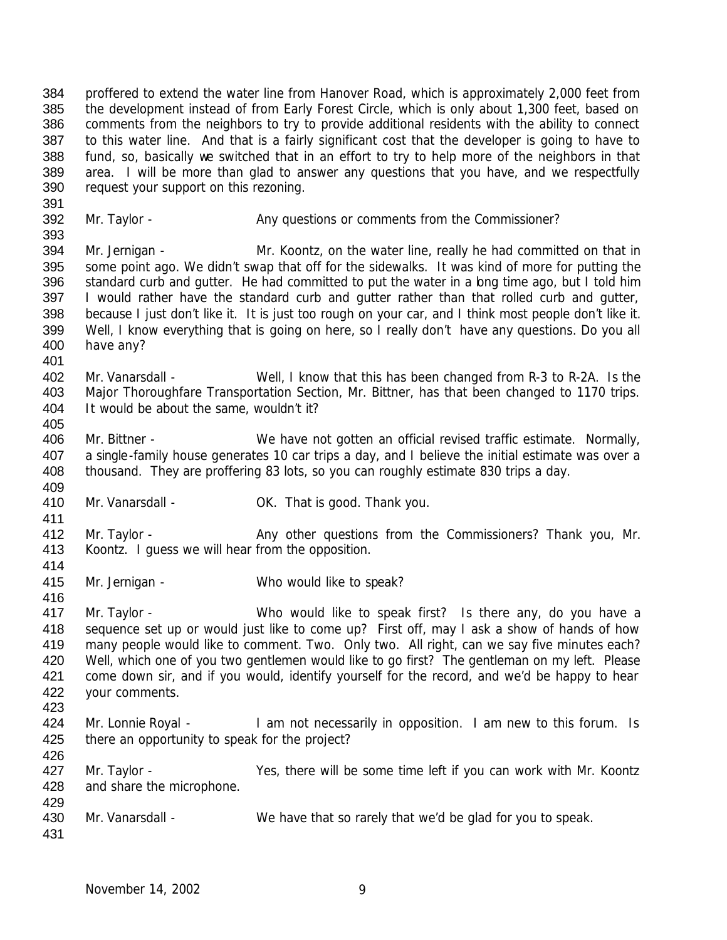proffered to extend the water line from Hanover Road, which is approximately 2,000 feet from the development instead of from Early Forest Circle, which is only about 1,300 feet, based on comments from the neighbors to try to provide additional residents with the ability to connect to this water line. And that is a fairly significant cost that the developer is going to have to fund, so, basically we switched that in an effort to try to help more of the neighbors in that 389 area. I will be more than glad to answer any questions that you have, and we respectfully request your support on this rezoning.

392 Mr. Taylor - Any questions or comments from the Commissioner? 

 Mr. Jernigan - Mr. Koontz, on the water line, really he had committed on that in some point ago. We didn't swap that off for the sidewalks. It was kind of more for putting the 396 standard curb and gutter. He had committed to put the water in a bng time ago, but I told him 397 I would rather have the standard curb and gutter rather than that rolled curb and gutter, because I just don't like it. It is just too rough on your car, and I think most people don't like it. Well, I know everything that is going on here, so I really don't have any questions. Do you all have any?

- Mr. Vanarsdall Well, I know that this has been changed from R-3 to R-2A. Is the Major Thoroughfare Transportation Section, Mr. Bittner, has that been changed to 1170 trips. It would be about the same, wouldn't it?
- Mr. Bittner We have not gotten an official revised traffic estimate. Normally, a single-family house generates 10 car trips a day, and I believe the initial estimate was over a thousand. They are proffering 83 lots, so you can roughly estimate 830 trips a day.
- 410 Mr. Vanarsdall CK. That is good. Thank you.
- 412 Mr. Taylor Any other questions from the Commissioners? Thank you, Mr. Koontz. I guess we will hear from the opposition.
- Mr. Jernigan Who would like to speak?
- Mr. Taylor Who would like to speak first? Is there any, do you have a sequence set up or would just like to come up? First off, may I ask a show of hands of how many people would like to comment. Two. Only two. All right, can we say five minutes each? 420 Well, which one of you two gentlemen would like to go first? The gentleman on my left. Please 421 come down sir, and if you would, identify yourself for the record, and we'd be happy to hear your comments.
- 424 Mr. Lonnie Royal I am not necessarily in opposition. I am new to this forum. Is 425 there an opportunity to speak for the project?
- 

427 Mr. Taylor - Yes, there will be some time left if you can work with Mr. Koontz

- and share the microphone.
- Mr. Vanarsdall We have that so rarely that we'd be glad for you to speak.
-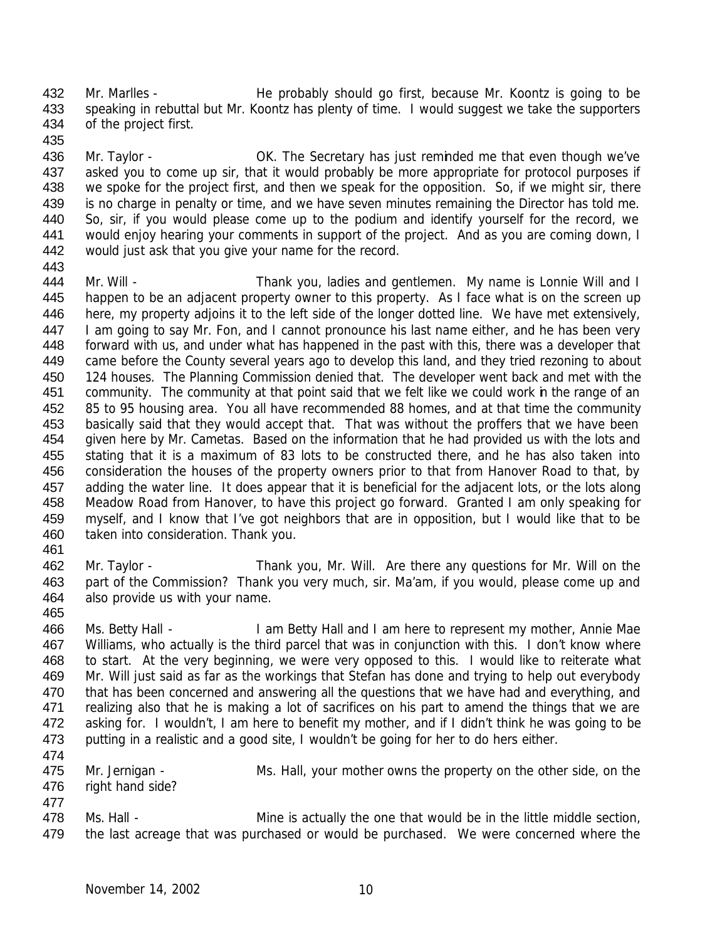432 Mr. Marlles - He probably should go first, because Mr. Koontz is going to be speaking in rebuttal but Mr. Koontz has plenty of time. I would suggest we take the supporters of the project first.

436 Mr. Taylor - **OK.** The Secretary has just reminded me that even though we've 437 asked you to come up sir, that it would probably be more appropriate for protocol purposes if 438 we spoke for the project first, and then we speak for the opposition. So, if we might sir, there is no charge in penalty or time, and we have seven minutes remaining the Director has told me. So, sir, if you would please come up to the podium and identify yourself for the record, we 441 would enjoy hearing your comments in support of the project. And as you are coming down, I would just ask that you give your name for the record.

444 Mr. Will - Thank you, ladies and gentlemen. My name is Lonnie Will and I 445 happen to be an adjacent property owner to this property. As I face what is on the screen up 446 here, my property adjoins it to the left side of the longer dotted line. We have met extensively, 447 I am going to say Mr. Fon, and I cannot pronounce his last name either, and he has been very forward with us, and under what has happened in the past with this, there was a developer that came before the County several years ago to develop this land, and they tried rezoning to about 450 124 houses. The Planning Commission denied that. The developer went back and met with the community. The community at that point said that we felt like we could work in the range of an 85 to 95 housing area. You all have recommended 88 homes, and at that time the community 453 basically said that they would accept that. That was without the proffers that we have been given here by Mr. Cametas. Based on the information that he had provided us with the lots and stating that it is a maximum of 83 lots to be constructed there, and he has also taken into consideration the houses of the property owners prior to that from Hanover Road to that, by adding the water line. It does appear that it is beneficial for the adjacent lots, or the lots along Meadow Road from Hanover, to have this project go forward. Granted I am only speaking for myself, and I know that I've got neighbors that are in opposition, but I would like that to be taken into consideration. Thank you.

 Mr. Taylor - Thank you, Mr. Will. Are there any questions for Mr. Will on the part of the Commission? Thank you very much, sir. Ma'am, if you would, please come up and also provide us with your name.

 Ms. Betty Hall - I am Betty Hall and I am here to represent my mother, Annie Mae Williams, who actually is the third parcel that was in conjunction with this. I don't know where to start. At the very beginning, we were very opposed to this. I would like to reiterate what Mr. Will just said as far as the workings that Stefan has done and trying to help out everybody 470 that has been concerned and answering all the questions that we have had and everything, and realizing also that he is making a lot of sacrifices on his part to amend the things that we are asking for. I wouldn't, I am here to benefit my mother, and if I didn't think he was going to be 473 putting in a realistic and a good site, I wouldn't be going for her to do hers either.

 Mr. Jernigan - Ms. Hall, your mother owns the property on the other side, on the right hand side?

 478 Ms. Hall - Mine is actually the one that would be in the little middle section, 479 the last acreage that was purchased or would be purchased. We were concerned where the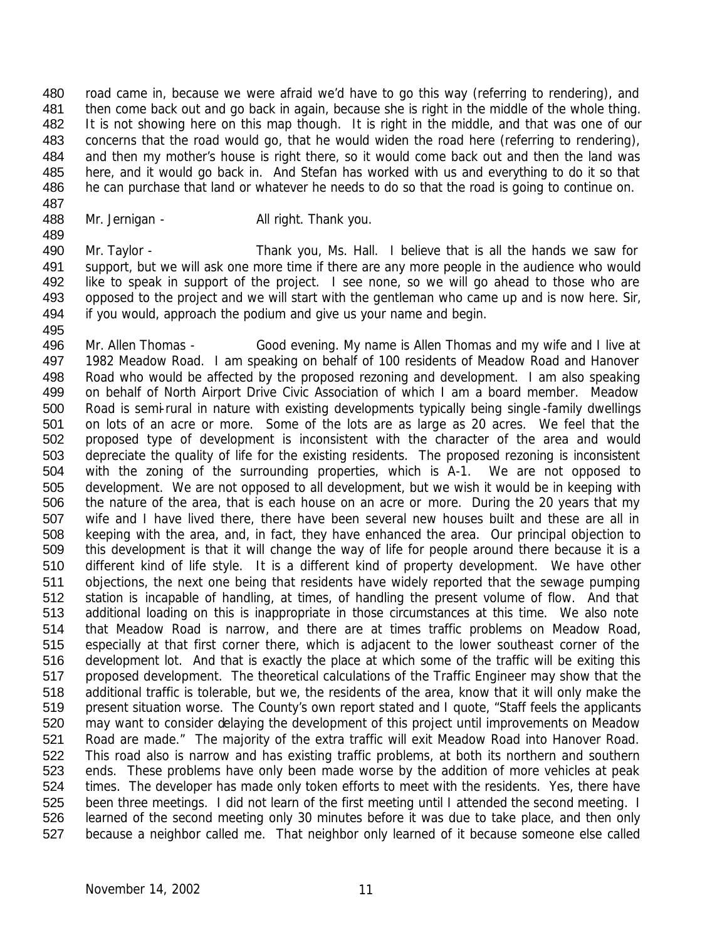road came in, because we were afraid we'd have to go this way (referring to rendering), and then come back out and go back in again, because she is right in the middle of the whole thing. It is not showing here on this map though. It is right in the middle, and that was one of our 483 concerns that the road would go, that he would widen the road here (referring to rendering), 484 and then my mother's house is right there, so it would come back out and then the land was here, and it would go back in. And Stefan has worked with us and everything to do it so that he can purchase that land or whatever he needs to do so that the road is going to continue on. 

488 Mr. Jernigan - All right. Thank you.

 Mr. Taylor - Thank you, Ms. Hall. I believe that is all the hands we saw for support, but we will ask one more time if there are any more people in the audience who would 492 like to speak in support of the project. I see none, so we will go ahead to those who are opposed to the project and we will start with the gentleman who came up and is now here. Sir, if you would, approach the podium and give us your name and begin.

 Mr. Allen Thomas - Good evening. My name is Allen Thomas and my wife and I live at 1982 Meadow Road. I am speaking on behalf of 100 residents of Meadow Road and Hanover Road who would be affected by the proposed rezoning and development. I am also speaking on behalf of North Airport Drive Civic Association of which I am a board member. Meadow Road is semi-rural in nature with existing developments typically being single -family dwellings on lots of an acre or more. Some of the lots are as large as 20 acres. We feel that the proposed type of development is inconsistent with the character of the area and would depreciate the quality of life for the existing residents. The proposed rezoning is inconsistent with the zoning of the surrounding properties, which is A-1. We are not opposed to development. We are not opposed to all development, but we wish it would be in keeping with the nature of the area, that is each house on an acre or more. During the 20 years that my wife and I have lived there, there have been several new houses built and these are all in keeping with the area, and, in fact, they have enhanced the area. Our principal objection to this development is that it will change the way of life for people around there because it is a different kind of life style. It is a different kind of property development. We have other objections, the next one being that residents have widely reported that the sewage pumping station is incapable of handling, at times, of handling the present volume of flow. And that additional loading on this is inappropriate in those circumstances at this time. We also note that Meadow Road is narrow, and there are at times traffic problems on Meadow Road, especially at that first corner there, which is adjacent to the lower southeast corner of the development lot. And that is exactly the place at which some of the traffic will be exiting this proposed development. The theoretical calculations of the Traffic Engineer may show that the additional traffic is tolerable, but we, the residents of the area, know that it will only make the present situation worse. The County's own report stated and I quote, "Staff feels the applicants may want to consider delaying the development of this project until improvements on Meadow Road are made." The majority of the extra traffic will exit Meadow Road into Hanover Road. This road also is narrow and has existing traffic problems, at both its northern and southern ends. These problems have only been made worse by the addition of more vehicles at peak times. The developer has made only token efforts to meet with the residents. Yes, there have been three meetings. I did not learn of the first meeting until I attended the second meeting. I learned of the second meeting only 30 minutes before it was due to take place, and then only because a neighbor called me. That neighbor only learned of it because someone else called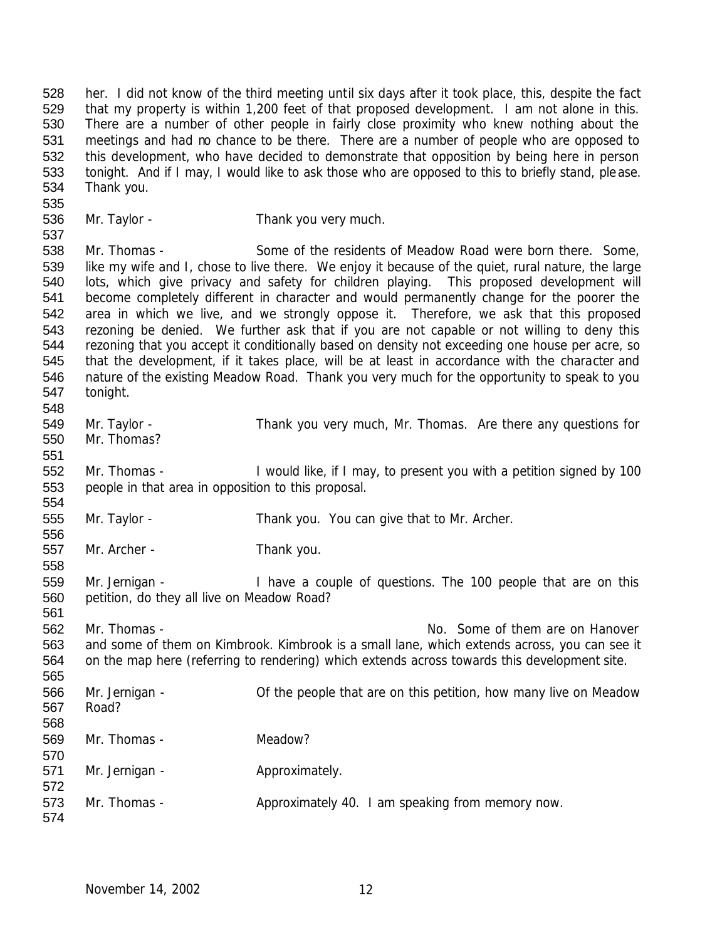her. I did not know of the third meeting until six days after it took place, this, despite the fact that my property is within 1,200 feet of that proposed development. I am not alone in this. There are a number of other people in fairly close proximity who knew nothing about the meetings and had no chance to be there. There are a number of people who are opposed to this development, who have decided to demonstrate that opposition by being here in person tonight. And if I may, I would like to ask those who are opposed to this to briefly stand, please. Thank you.

536 Mr. Taylor - Thank you very much.

538 Mr. Thomas - Some of the residents of Meadow Road were born there. Some, like my wife and I, chose to live there. We enjoy it because of the quiet, rural nature, the large lots, which give privacy and safety for children playing. This proposed development will become completely different in character and would permanently change for the poorer the area in which we live, and we strongly oppose it. Therefore, we ask that this proposed rezoning be denied. We further ask that if you are not capable or not willing to deny this rezoning that you accept it conditionally based on density not exceeding one house per acre, so that the development, if it takes place, will be at least in accordance with the character and nature of the existing Meadow Road. Thank you very much for the opportunity to speak to you tonight.

- Mr. Taylor Thank you very much, Mr. Thomas. Are there any questions for Mr. Thomas?
- Mr. Thomas I would like, if I may, to present you with a petition signed by 100 people in that area in opposition to this proposal.
- Mr. Taylor Thank you. You can give that to Mr. Archer.
- Mr. Archer Thank you.
- Mr. Jernigan I have a couple of questions. The 100 people that are on this petition, do they all live on Meadow Road?

 562 Mr. Thomas - No. Some of them are on Hanover and some of them on Kimbrook. Kimbrook is a small lane, which extends across, you can see it on the map here (referring to rendering) which extends across towards this development site. Mr. Jernigan - Of the people that are on this petition, how many live on Meadow Road? Mr. Thomas - Meadow? 571 Mr. Jernigan - Approximately. 

573 Mr. Thomas - Approximately 40. I am speaking from memory now.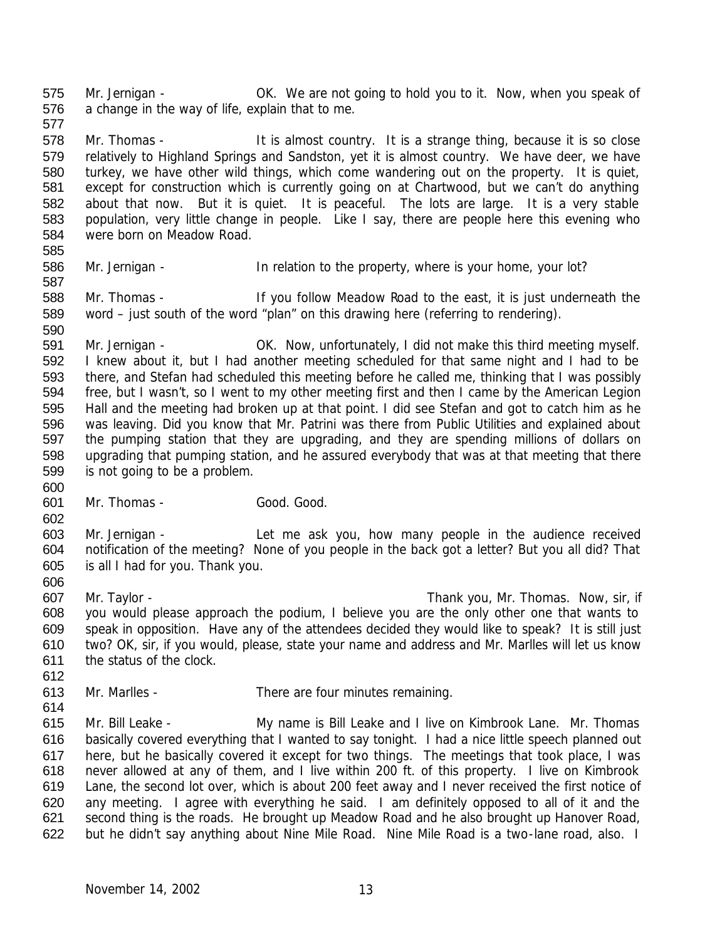Mr. Jernigan - OK. We are not going to hold you to it. Now, when you speak of a change in the way of life, explain that to me. 

 Mr. Thomas - It is almost country. It is a strange thing, because it is so close relatively to Highland Springs and Sandston, yet it is almost country. We have deer, we have turkey, we have other wild things, which come wandering out on the property. It is quiet, except for construction which is currently going on at Chartwood, but we can't do anything about that now. But it is quiet. It is peaceful. The lots are large. It is a very stable population, very little change in people. Like I say, there are people here this evening who were born on Meadow Road. 

586 Mr. Jernigan - In relation to the property, where is your home, your lot? 

 Mr. Thomas - If you follow Meadow Road to the east, it is just underneath the word – just south of the word "plan" on this drawing here (referring to rendering).

 Mr. Jernigan - OK. Now, unfortunately, I did not make this third meeting myself. I knew about it, but I had another meeting scheduled for that same night and I had to be there, and Stefan had scheduled this meeting before he called me, thinking that I was possibly free, but I wasn't, so I went to my other meeting first and then I came by the American Legion Hall and the meeting had broken up at that point. I did see Stefan and got to catch him as he was leaving. Did you know that Mr. Patrini was there from Public Utilities and explained about the pumping station that they are upgrading, and they are spending millions of dollars on upgrading that pumping station, and he assured everybody that was at that meeting that there is not going to be a problem.

601 Mr. Thomas - Good. Good. Good.

 Mr. Jernigan - Let me ask you, how many people in the audience received notification of the meeting? None of you people in the back got a letter? But you all did? That is all I had for you. Thank you. 

 Mr. Taylor - Thank you, Mr. Thomas. Now, sir, if you would please approach the podium, I believe you are the only other one that wants to speak in opposition. Have any of the attendees decided they would like to speak? It is still just two? OK, sir, if you would, please, state your name and address and Mr. Marlles will let us know the status of the clock.

- Mr. Marlles There are four minutes remaining.
- 

 Mr. Bill Leake - My name is Bill Leake and I live on Kimbrook Lane. Mr. Thomas basically covered everything that I wanted to say tonight. I had a nice little speech planned out here, but he basically covered it except for two things. The meetings that took place, I was never allowed at any of them, and I live within 200 ft. of this property. I live on Kimbrook Lane, the second lot over, which is about 200 feet away and I never received the first notice of any meeting. I agree with everything he said. I am definitely opposed to all of it and the second thing is the roads. He brought up Meadow Road and he also brought up Hanover Road, but he didn't say anything about Nine Mile Road. Nine Mile Road is a two-lane road, also. I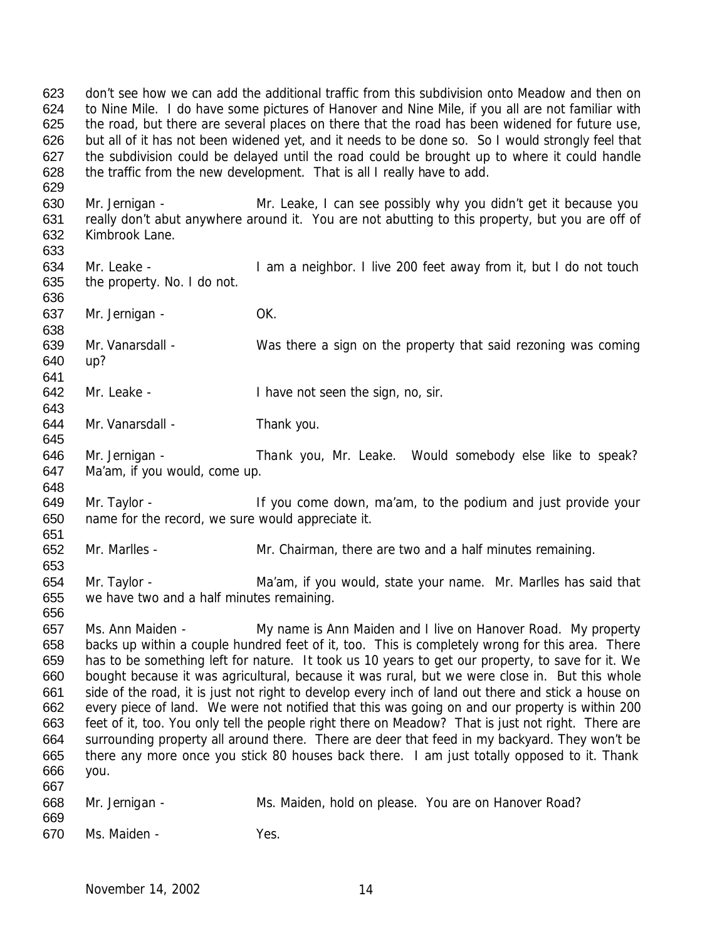don't see how we can add the additional traffic from this subdivision onto Meadow and then on to Nine Mile. I do have some pictures of Hanover and Nine Mile, if you all are not familiar with the road, but there are several places on there that the road has been widened for future use, but all of it has not been widened yet, and it needs to be done so. So I would strongly feel that the subdivision could be delayed until the road could be brought up to where it could handle the traffic from the new development. That is all I really have to add. 

 Mr. Jernigan - Mr. Leake, I can see possibly why you didn't get it because you really don't abut anywhere around it. You are not abutting to this property, but you are off of Kimbrook Lane. 

 Mr. Leake - I am a neighbor. I live 200 feet away from it, but I do not touch the property. No. I do not.

637 Mr. Jernigan - OK.

 Mr. Vanarsdall - Was there a sign on the property that said rezoning was coming up?

Mr. Leake - I have not seen the sign, no, sir.

- 644 Mr. Vanarsdall Thank you.
- Mr. Jernigan Thank you, Mr. Leake. Would somebody else like to speak? Ma'am, if you would, come up.

649 Mr. Taylor - If you come down, ma'am, to the podium and just provide your name for the record, we sure would appreciate it.

Mr. Marlles - Mr. Chairman, there are two and a half minutes remaining.

- 654 Mr. Taylor Ma'am, if you would, state your name. Mr. Marlles has said that we have two and a half minutes remaining.
- Ms. Ann Maiden My name is Ann Maiden and I live on Hanover Road. My property backs up within a couple hundred feet of it, too. This is completely wrong for this area. There has to be something left for nature. It took us 10 years to get our property, to save for it. We bought because it was agricultural, because it was rural, but we were close in. But this whole side of the road, it is just not right to develop every inch of land out there and stick a house on every piece of land. We were not notified that this was going on and our property is within 200 feet of it, too. You only tell the people right there on Meadow? That is just not right. There are surrounding property all around there. There are deer that feed in my backyard. They won't be there any more once you stick 80 houses back there. I am just totally opposed to it. Thank you.
- Mr. Jernigan Ms. Maiden, hold on please. You are on Hanover Road? Ms. Maiden - Yes.
	- November 14, 2002 14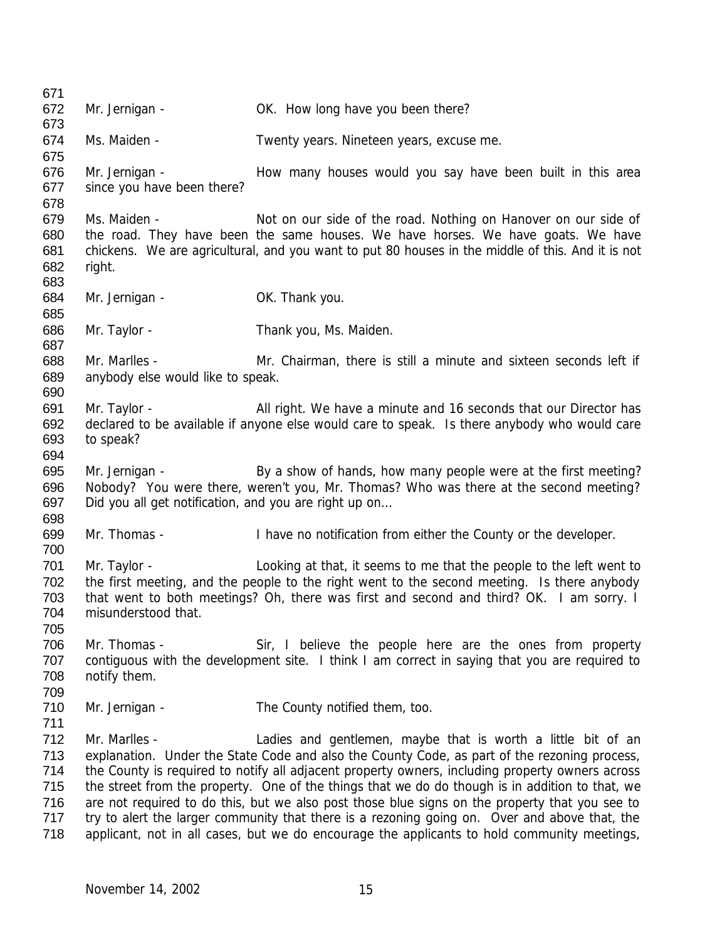672 Mr. Jernigan - OK. How long have you been there? Ms. Maiden - Twenty years. Nineteen years, excuse me. 676 Mr. Jernigan - How many houses would you say have been built in this area since you have been there? 679 Ms. Maiden - Not on our side of the road. Nothing on Hanover on our side of the road. They have been the same houses. We have horses. We have goats. We have chickens. We are agricultural, and you want to put 80 houses in the middle of this. And it is not right. 684 Mr. Jernigan - OK. Thank you. Mr. Taylor - Thank you, Ms. Maiden. Mr. Marlles - Mr. Chairman, there is still a minute and sixteen seconds left if anybody else would like to speak. Mr. Taylor - All right. We have a minute and 16 seconds that our Director has declared to be available if anyone else would care to speak. Is there anybody who would care to speak? Mr. Jernigan - By a show of hands, how many people were at the first meeting? Nobody? You were there, weren't you, Mr. Thomas? Who was there at the second meeting? Did you all get notification, and you are right up on… Mr. Thomas - I have no notification from either the County or the developer. Mr. Taylor - Looking at that, it seems to me that the people to the left went to the first meeting, and the people to the right went to the second meeting. Is there anybody that went to both meetings? Oh, there was first and second and third? OK. I am sorry. I misunderstood that. Mr. Thomas - Sir, I believe the people here are the ones from property contiguous with the development site. I think I am correct in saying that you are required to notify them. 710 Mr. Jernigan - The County notified them, too. Mr. Marlles - Ladies and gentlemen, maybe that is worth a little bit of an explanation. Under the State Code and also the County Code, as part of the rezoning process, the County is required to notify all adjacent property owners, including property owners across the street from the property. One of the things that we do do though is in addition to that, we are not required to do this, but we also post those blue signs on the property that you see to 717 try to alert the larger community that there is a rezoning going on. Over and above that, the applicant, not in all cases, but we do encourage the applicants to hold community meetings,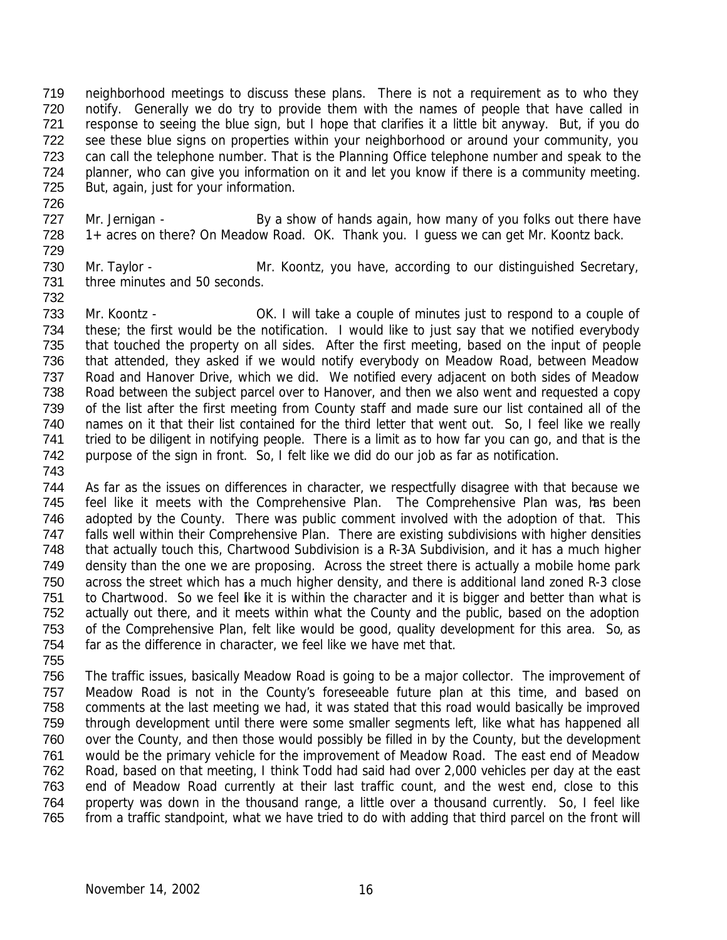neighborhood meetings to discuss these plans. There is not a requirement as to who they notify. Generally we do try to provide them with the names of people that have called in response to seeing the blue sign, but I hope that clarifies it a little bit anyway. But, if you do see these blue signs on properties within your neighborhood or around your community, you can call the telephone number. That is the Planning Office telephone number and speak to the planner, who can give you information on it and let you know if there is a community meeting. But, again, just for your information.

727 Mr. Jernigan - By a show of hands again, how many of you folks out there have 1+ acres on there? On Meadow Road. OK. Thank you. I guess we can get Mr. Koontz back. 

730 Mr. Taylor - Mr. Koontz, you have, according to our distinguished Secretary, three minutes and 50 seconds.

 Mr. Koontz - OK. I will take a couple of minutes just to respond to a couple of these; the first would be the notification. I would like to just say that we notified everybody that touched the property on all sides. After the first meeting, based on the input of people that attended, they asked if we would notify everybody on Meadow Road, between Meadow Road and Hanover Drive, which we did. We notified every adjacent on both sides of Meadow Road between the subject parcel over to Hanover, and then we also went and requested a copy of the list after the first meeting from County staff and made sure our list contained all of the names on it that their list contained for the third letter that went out. So, I feel like we really tried to be diligent in notifying people. There is a limit as to how far you can go, and that is the purpose of the sign in front. So, I felt like we did do our job as far as notification. 

- As far as the issues on differences in character, we respectfully disagree with that because we 745 feel like it meets with the Comprehensive Plan. The Comprehensive Plan was, has been adopted by the County. There was public comment involved with the adoption of that. This falls well within their Comprehensive Plan. There are existing subdivisions with higher densities that actually touch this, Chartwood Subdivision is a R-3A Subdivision, and it has a much higher density than the one we are proposing. Across the street there is actually a mobile home park across the street which has a much higher density, and there is additional land zoned R-3 close to Chartwood. So we feel like it is within the character and it is bigger and better than what is actually out there, and it meets within what the County and the public, based on the adoption of the Comprehensive Plan, felt like would be good, quality development for this area. So, as far as the difference in character, we feel like we have met that.
- The traffic issues, basically Meadow Road is going to be a major collector. The improvement of Meadow Road is not in the County's foreseeable future plan at this time, and based on comments at the last meeting we had, it was stated that this road would basically be improved through development until there were some smaller segments left, like what has happened all over the County, and then those would possibly be filled in by the County, but the development would be the primary vehicle for the improvement of Meadow Road. The east end of Meadow Road, based on that meeting, I think Todd had said had over 2,000 vehicles per day at the east end of Meadow Road currently at their last traffic count, and the west end, close to this property was down in the thousand range, a little over a thousand currently. So, I feel like from a traffic standpoint, what we have tried to do with adding that third parcel on the front will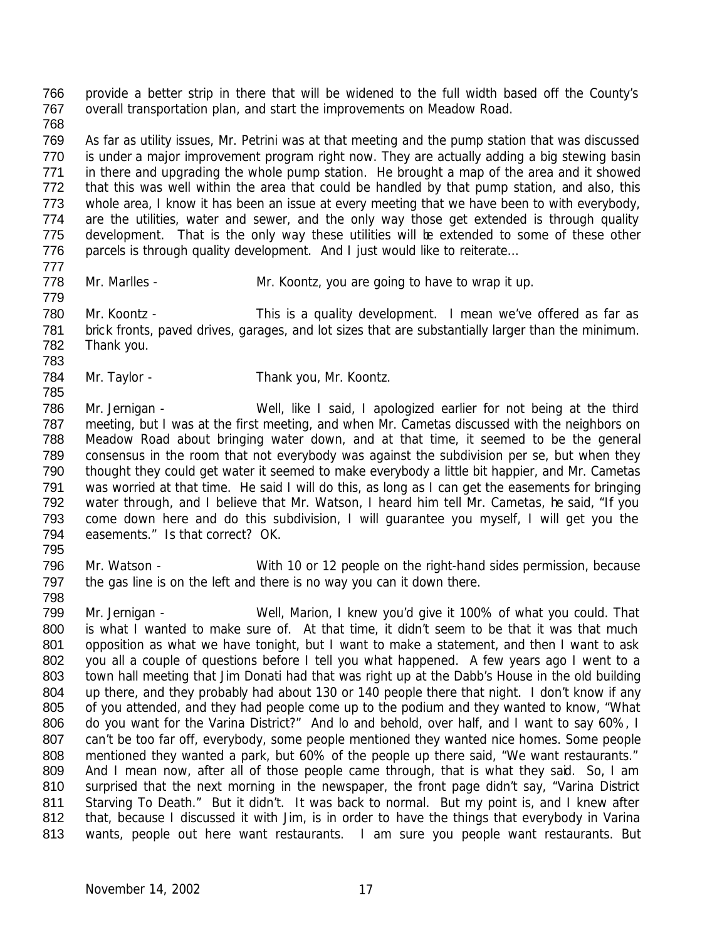provide a better strip in there that will be widened to the full width based off the County's overall transportation plan, and start the improvements on Meadow Road. 

 As far as utility issues, Mr. Petrini was at that meeting and the pump station that was discussed 770 is under a major improvement program right now. They are actually adding a big stewing basin in there and upgrading the whole pump station. He brought a map of the area and it showed that this was well within the area that could be handled by that pump station, and also, this whole area, I know it has been an issue at every meeting that we have been to with everybody, 774 are the utilities, water and sewer, and the only way those get extended is through quality 775 development. That is the only way these utilities will be extended to some of these other 776 parcels is through quality development. And I just would like to reiterate...

- 
- 778 Mr. Marlles Mr. Koontz, you are going to have to wrap it up.

780 Mr. Koontz - This is a quality development. I mean we've offered as far as brick fronts, paved drives, garages, and lot sizes that are substantially larger than the minimum. Thank you. 

- 784 Mr. Taylor Thank you, Mr. Koontz.
- Mr. Jernigan Well, like I said, I apologized earlier for not being at the third meeting, but I was at the first meeting, and when Mr. Cametas discussed with the neighbors on Meadow Road about bringing water down, and at that time, it seemed to be the general consensus in the room that not everybody was against the subdivision per se, but when they thought they could get water it seemed to make everybody a little bit happier, and Mr. Cametas was worried at that time. He said I will do this, as long as I can get the easements for bringing 792 water through, and I believe that Mr. Watson, I heard him tell Mr. Cametas, he said, "If you come down here and do this subdivision, I will guarantee you myself, I will get you the 794 easements." Is that correct? OK.
- Mr. Watson With 10 or 12 people on the right-hand sides permission, because 797 the gas line is on the left and there is no way you can it down there.
- 

 Mr. Jernigan - Well, Marion, I knew you'd give it 100% of what you could. That 800 is what I wanted to make sure of. At that time, it didn't seem to be that it was that much 801 opposition as what we have tonight, but I want to make a statement, and then I want to ask you all a couple of questions before I tell you what happened. A few years ago I went to a town hall meeting that Jim Donati had that was right up at the Dabb's House in the old building 804 up there, and they probably had about 130 or 140 people there that night. I don't know if any of you attended, and they had people come up to the podium and they wanted to know, "What do you want for the Varina District?" And lo and behold, over half, and I want to say 60%, I 807 can't be too far off, everybody, some people mentioned they wanted nice homes. Some people mentioned they wanted a park, but 60% of the people up there said, "We want restaurants." 809 And I mean now, after all of those people came through, that is what they said. So, I am surprised that the next morning in the newspaper, the front page didn't say, "Varina District 811 Starving To Death." But it didn't. It was back to normal. But my point is, and I knew after 812 that, because I discussed it with Jim, is in order to have the things that everybody in Varina wants, people out here want restaurants. I am sure you people want restaurants. But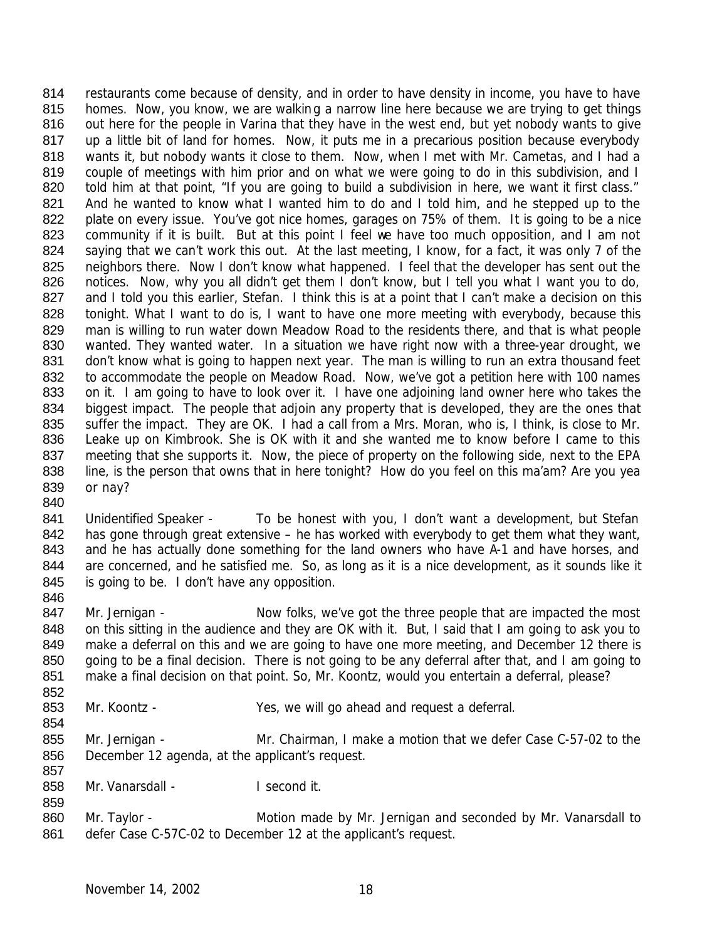814 restaurants come because of density, and in order to have density in income, you have to have 815 homes. Now, you know, we are walking a narrow line here because we are trying to get things 816 out here for the people in Varina that they have in the west end, but yet nobody wants to give 817 up a little bit of land for homes. Now, it puts me in a precarious position because everybody 818 wants it, but nobody wants it close to them. Now, when I met with Mr. Cametas, and I had a 819 couple of meetings with him prior and on what we were going to do in this subdivision, and I 820 told him at that point, "If you are going to build a subdivision in here, we want it first class." 821 And he wanted to know what I wanted him to do and I told him, and he stepped up to the 822 plate on every issue. You've got nice homes, garages on 75% of them. It is going to be a nice 823 community if it is built. But at this point I feel we have too much opposition, and I am not 824 saying that we can't work this out. At the last meeting, I know, for a fact, it was only 7 of the 825 neighbors there. Now I don't know what happened. I feel that the developer has sent out the 826 notices. Now, why you all didn't get them I don't know, but I tell you what I want you to do, 827 and I told you this earlier, Stefan. I think this is at a point that I can't make a decision on this 828 tonight. What I want to do is, I want to have one more meeting with everybody, because this 829 man is willing to run water down Meadow Road to the residents there, and that is what people 830 wanted. They wanted water. In a situation we have right now with a three-year drought, we 831 don't know what is going to happen next year. The man is willing to run an extra thousand feet 832 to accommodate the people on Meadow Road. Now, we've got a petition here with 100 names 833 on it. I am going to have to look over it. I have one adjoining land owner here who takes the 834 biggest impact. The people that adjoin any property that is developed, they are the ones that 835 suffer the impact. They are OK. I had a call from a Mrs. Moran, who is, I think, is close to Mr. 836 Leake up on Kimbrook. She is OK with it and she wanted me to know before I came to this 837 meeting that she supports it. Now, the piece of property on the following side, next to the EPA 838 line, is the person that owns that in here tonight? How do you feel on this ma'am? Are you yea 839 or nay? 840

- 841 Unidentified Speaker To be honest with you, I don't want a development, but Stefan 842 has gone through great extensive – he has worked with everybody to get them what they want, 843 and he has actually done something for the land owners who have A-1 and have horses, and 844 are concerned, and he satisfied me. So, as long as it is a nice development, as it sounds like it 845 is going to be. I don't have any opposition.
- 846

854

859

847 Mr. Jernigan - Now folks, we've got the three people that are impacted the most 848 on this sitting in the audience and they are OK with it. But, I said that I am going to ask you to 849 make a deferral on this and we are going to have one more meeting, and December 12 there is 850 going to be a final decision. There is not going to be any deferral after that, and I am going to 851 make a final decision on that point. So, Mr. Koontz, would you entertain a deferral, please? 852

- 853 Mr. Koontz Yes, we will go ahead and request a deferral.
- 855 Mr. Jernigan Mr. Chairman, I make a motion that we defer Case C-57-02 to the 856 December 12 agenda, at the applicant's request. 857
- 858 Mr. Vanarsdall I second it.
- 860 Mr. Taylor Motion made by Mr. Jernigan and seconded by Mr. Vanarsdall to 861 defer Case C-57C-02 to December 12 at the applicant's request.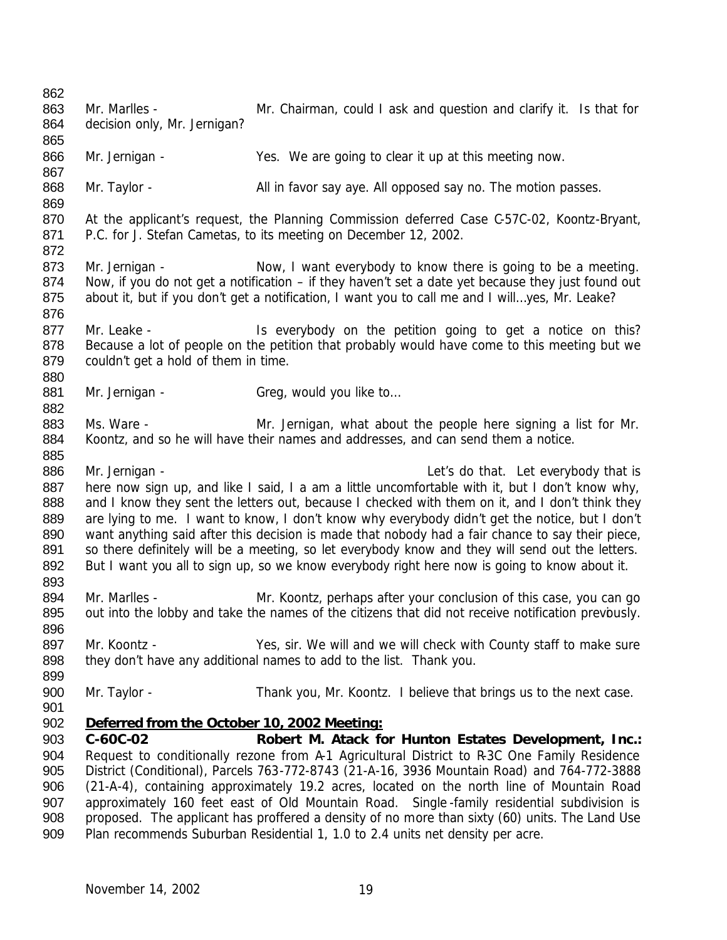| 862                      |                                                     |                                                                                                                                                                                                                                                                       |
|--------------------------|-----------------------------------------------------|-----------------------------------------------------------------------------------------------------------------------------------------------------------------------------------------------------------------------------------------------------------------------|
| 863                      | Mr. Marlles -                                       | Mr. Chairman, could I ask and question and clarify it. Is that for                                                                                                                                                                                                    |
| 864<br>865               | decision only, Mr. Jernigan?                        |                                                                                                                                                                                                                                                                       |
| 866<br>867               | Mr. Jernigan -                                      | Yes. We are going to clear it up at this meeting now.                                                                                                                                                                                                                 |
| 868<br>869               | Mr. Taylor -                                        | All in favor say aye. All opposed say no. The motion passes.                                                                                                                                                                                                          |
| 870<br>871<br>872        |                                                     | At the applicant's request, the Planning Commission deferred Case C-57C-02, Koontz-Bryant,<br>P.C. for J. Stefan Cametas, to its meeting on December 12, 2002.                                                                                                        |
| 873<br>874<br>875<br>876 | Mr. Jernigan -                                      | Now, I want everybody to know there is going to be a meeting.<br>Now, if you do not get a notification - if they haven't set a date yet because they just found out<br>about it, but if you don't get a notification, I want you to call me and I willyes, Mr. Leake? |
| 877<br>878<br>879        | Mr. Leake -<br>couldn't get a hold of them in time. | Is everybody on the petition going to get a notice on this?<br>Because a lot of people on the petition that probably would have come to this meeting but we                                                                                                           |
| 880<br>881               | Mr. Jernigan -                                      | Greg, would you like to                                                                                                                                                                                                                                               |
| 882                      |                                                     |                                                                                                                                                                                                                                                                       |
| 883                      | Ms. Ware -                                          | Mr. Jernigan, what about the people here signing a list for Mr.                                                                                                                                                                                                       |
| 884                      |                                                     | Koontz, and so he will have their names and addresses, and can send them a notice.                                                                                                                                                                                    |
| 885                      |                                                     |                                                                                                                                                                                                                                                                       |
| 886                      | Mr. Jernigan -                                      | Let's do that. Let everybody that is                                                                                                                                                                                                                                  |
| 887                      |                                                     | here now sign up, and like I said, I a am a little uncomfortable with it, but I don't know why,                                                                                                                                                                       |
| 888                      |                                                     | and I know they sent the letters out, because I checked with them on it, and I don't think they                                                                                                                                                                       |
| 889                      |                                                     | are lying to me. I want to know, I don't know why everybody didn't get the notice, but I don't                                                                                                                                                                        |
| 890<br>891               |                                                     | want anything said after this decision is made that nobody had a fair chance to say their piece,<br>so there definitely will be a meeting, so let everybody know and they will send out the letters.                                                                  |
| 892                      |                                                     | But I want you all to sign up, so we know everybody right here now is going to know about it.                                                                                                                                                                         |
| 893                      |                                                     |                                                                                                                                                                                                                                                                       |
| 894                      | Mr. Marlles -                                       | Mr. Koontz, perhaps after your conclusion of this case, you can go                                                                                                                                                                                                    |
| 895                      |                                                     | out into the lobby and take the names of the citizens that did not receive notification prevbusly.                                                                                                                                                                    |
| 896                      |                                                     |                                                                                                                                                                                                                                                                       |
| 897                      | Mr. Koontz -                                        | Yes, sir. We will and we will check with County staff to make sure                                                                                                                                                                                                    |
| 898                      |                                                     | they don't have any additional names to add to the list. Thank you.                                                                                                                                                                                                   |
| 899                      |                                                     |                                                                                                                                                                                                                                                                       |
| 900                      | Mr. Taylor -                                        | Thank you, Mr. Koontz. I believe that brings us to the next case.                                                                                                                                                                                                     |
| 901                      |                                                     |                                                                                                                                                                                                                                                                       |
| 902                      | Deferred from the October 10, 2002 Meeting:         |                                                                                                                                                                                                                                                                       |
| 903                      | C-60C-02                                            | Robert M. Atack for Hunton Estates Development, Inc.:                                                                                                                                                                                                                 |
| 904<br>905               |                                                     | Request to conditionally rezone from A-1 Agricultural District to R-3C One Family Residence<br>District (Conditional), Parcels 763-772-8743 (21-A-16, 3936 Mountain Road) and 764-772-3888                                                                            |
| 906                      |                                                     | (21-A-4), containing approximately 19.2 acres, located on the north line of Mountain Road                                                                                                                                                                             |
| 907                      |                                                     |                                                                                                                                                                                                                                                                       |
|                          |                                                     |                                                                                                                                                                                                                                                                       |
| 908                      |                                                     | approximately 160 feet east of Old Mountain Road. Single-family residential subdivision is<br>proposed. The applicant has proffered a density of no more than sixty (60) units. The Land Use                                                                          |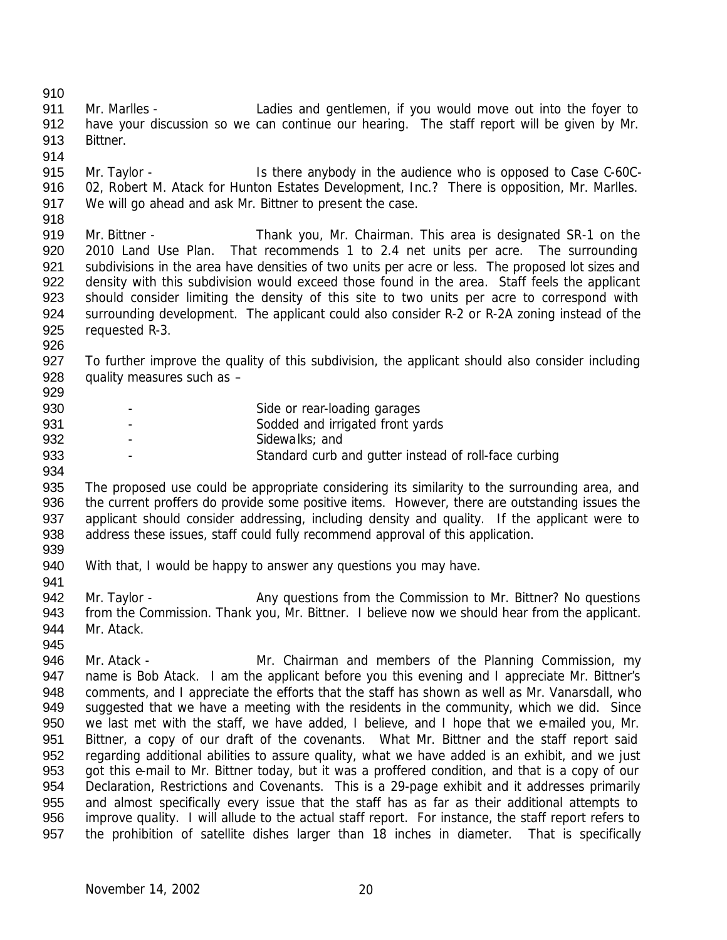Mr. Marlles - Ladies and gentlemen, if you would move out into the foyer to 912 have your discussion so we can continue our hearing. The staff report will be given by Mr. Bittner. Mr. Taylor - Is there anybody in the audience who is opposed to Case C-60C-916 02, Robert M. Atack for Hunton Estates Development, Inc.? There is opposition, Mr. Marlles. We will go ahead and ask Mr. Bittner to present the case. Mr. Bittner - Thank you, Mr. Chairman. This area is designated SR-1 on the 2010 Land Use Plan. That recommends 1 to 2.4 net units per acre. The surrounding subdivisions in the area have densities of two units per acre or less. The proposed lot sizes and density with this subdivision would exceed those found in the area. Staff feels the applicant 923 should consider limiting the density of this site to two units per acre to correspond with 924 surrounding development. The applicant could also consider R-2 or R-2A zoning instead of the requested R-3. To further improve the quality of this subdivision, the applicant should also consider including quality measures such as – 930 - Side or rear-loading garages **- Sodded and irrigated front yards** 932 - Sidewalks; and **- Standard curb and gutter instead of roll-face curbing**  The proposed use could be appropriate considering its similarity to the surrounding area, and the current proffers do provide some positive items. However, there are outstanding issues the 937 applicant should consider addressing, including density and quality. If the applicant were to address these issues, staff could fully recommend approval of this application. With that, I would be happy to answer any questions you may have. 942 Mr. Taylor - Any questions from the Commission to Mr. Bittner? No questions from the Commission. Thank you, Mr. Bittner. I believe now we should hear from the applicant. Mr. Atack. 946 Mr. Atack - Mr. Chairman and members of the Planning Commission, my name is Bob Atack. I am the applicant before you this evening and I appreciate Mr. Bittner's 948 comments, and I appreciate the efforts that the staff has shown as well as Mr. Vanarsdall, who suggested that we have a meeting with the residents in the community, which we did. Since 950 we last met with the staff, we have added, I believe, and I hope that we e-mailed you, Mr. Bittner, a copy of our draft of the covenants. What Mr. Bittner and the staff report said regarding additional abilities to assure quality, what we have added is an exhibit, and we just got this e-mail to Mr. Bittner today, but it was a proffered condition, and that is a copy of our Declaration, Restrictions and Covenants. This is a 29-page exhibit and it addresses primarily and almost specifically every issue that the staff has as far as their additional attempts to improve quality. I will allude to the actual staff report. For instance, the staff report refers to the prohibition of satellite dishes larger than 18 inches in diameter. That is specifically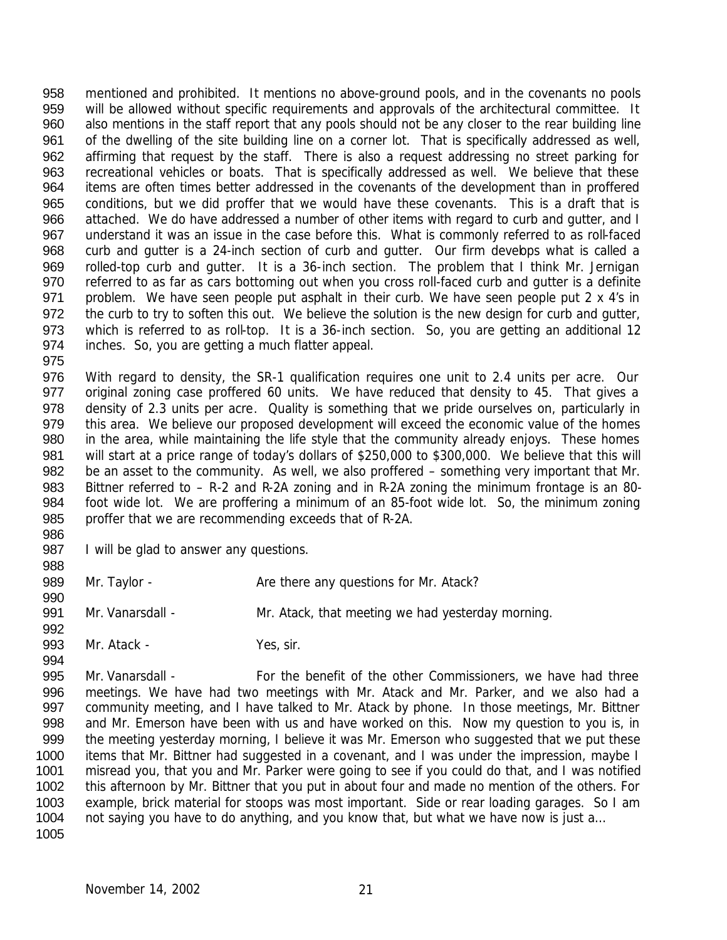mentioned and prohibited. It mentions no above-ground pools, and in the covenants no pools will be allowed without specific requirements and approvals of the architectural committee. It also mentions in the staff report that any pools should not be any closer to the rear building line of the dwelling of the site building line on a corner lot. That is specifically addressed as well, affirming that request by the staff. There is also a request addressing no street parking for recreational vehicles or boats. That is specifically addressed as well. We believe that these items are often times better addressed in the covenants of the development than in proffered conditions, but we did proffer that we would have these covenants. This is a draft that is 966 attached. We do have addressed a number of other items with regard to curb and gutter, and I understand it was an issue in the case before this. What is commonly referred to as roll-faced 968 curb and gutter is a 24-inch section of curb and gutter. Our firm devebps what is called a rolled-top curb and gutter. It is a 36-inch section. The problem that I think Mr. Jernigan referred to as far as cars bottoming out when you cross roll-faced curb and gutter is a definite problem. We have seen people put asphalt in their curb. We have seen people put 2 x 4's in 972 the curb to try to soften this out. We believe the solution is the new design for curb and gutter, which is referred to as roll-top. It is a 36-inch section. So, you are getting an additional 12 inches. So, you are getting a much flatter appeal.

 With regard to density, the SR-1 qualification requires one unit to 2.4 units per acre. Our original zoning case proffered 60 units. We have reduced that density to 45. That gives a 978 density of 2.3 units per acre. Quality is something that we pride ourselves on, particularly in 979 this area. We believe our proposed development will exceed the economic value of the homes in the area, while maintaining the life style that the community already enjoys. These homes will start at a price range of today's dollars of \$250,000 to \$300,000. We believe that this will be an asset to the community. As well, we also proffered – something very important that Mr. Bittner referred to – R-2 and R-2A zoning and in R-2A zoning the minimum frontage is an 80- foot wide lot. We are proffering a minimum of an 85-foot wide lot. So, the minimum zoning proffer that we are recommending exceeds that of R-2A.

- 987 I will be glad to answer any questions.
- 

- 989 Mr. Taylor Are there any questions for Mr. Atack?
- Mr. Vanarsdall Mr. Atack, that meeting we had yesterday morning.
- 993 Mr. Atack Yes, sir.

 Mr. Vanarsdall - For the benefit of the other Commissioners, we have had three meetings. We have had two meetings with Mr. Atack and Mr. Parker, and we also had a community meeting, and I have talked to Mr. Atack by phone. In those meetings, Mr. Bittner and Mr. Emerson have been with us and have worked on this. Now my question to you is, in the meeting yesterday morning, I believe it was Mr. Emerson who suggested that we put these items that Mr. Bittner had suggested in a covenant, and I was under the impression, maybe I misread you, that you and Mr. Parker were going to see if you could do that, and I was notified this afternoon by Mr. Bittner that you put in about four and made no mention of the others. For example, brick material for stoops was most important. Side or rear loading garages. So I am 1004 not saying you have to do anything, and you know that, but what we have now is just a...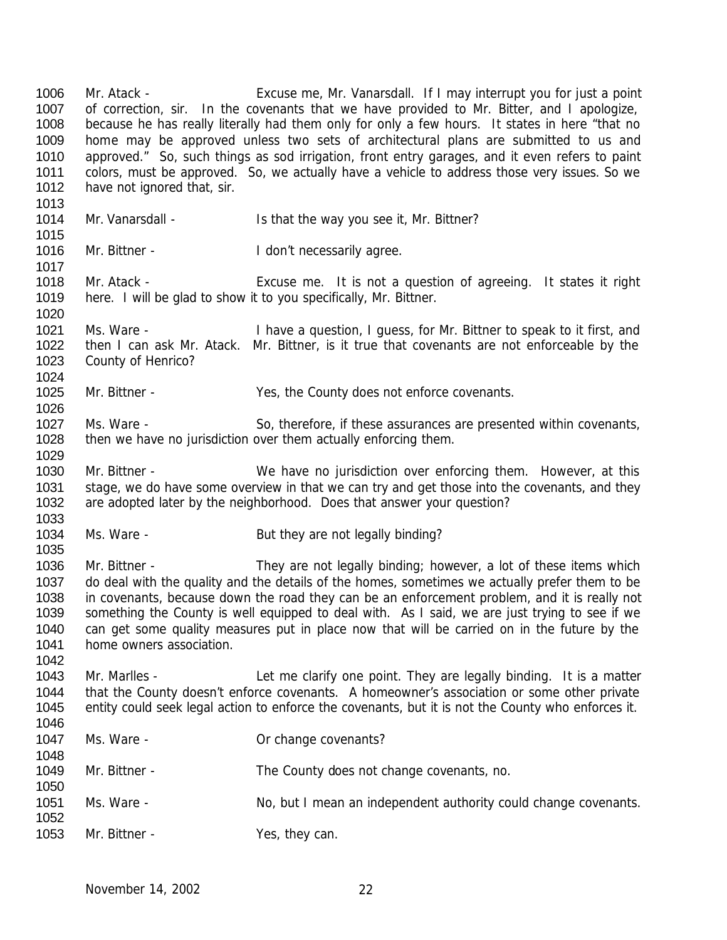Mr. Atack - Excuse me, Mr. Vanarsdall. If I may interrupt you for just a point 1007 of correction, sir. In the covenants that we have provided to Mr. Bitter, and I apologize, because he has really literally had them only for only a few hours. It states in here "that no home may be approved unless two sets of architectural plans are submitted to us and approved." So, such things as sod irrigation, front entry garages, and it even refers to paint colors, must be approved. So, we actually have a vehicle to address those very issues. So we 1012 have not ignored that, sir. 1014 Mr. Vanarsdall - Is that the way you see it, Mr. Bittner? 1016 Mr. Bittner - I don't necessarily agree. Mr. Atack - Excuse me. It is not a question of agreeing. It states it right here. I will be glad to show it to you specifically, Mr. Bittner. Ms. Ware - I have a question, I guess, for Mr. Bittner to speak to it first, and then I can ask Mr. Atack. Mr. Bittner, is it true that covenants are not enforceable by the County of Henrico? Mr. Bittner - Yes, the County does not enforce covenants. 1027 Ms. Ware - So, therefore, if these assurances are presented within covenants, 1028 then we have no jurisdiction over them actually enforcing them. Mr. Bittner - We have no jurisdiction over enforcing them. However, at this 1031 stage, we do have some overview in that we can try and get those into the covenants, and they are adopted later by the neighborhood. Does that answer your question? 1034 Ms. Ware - But they are not legally binding? Mr. Bittner - They are not legally binding; however, a lot of these items which do deal with the quality and the details of the homes, sometimes we actually prefer them to be in covenants, because down the road they can be an enforcement problem, and it is really not something the County is well equipped to deal with. As I said, we are just trying to see if we can get some quality measures put in place now that will be carried on in the future by the home owners association. Mr. Marlles - Let me clarify one point. They are legally binding. It is a matter that the County doesn't enforce covenants. A homeowner's association or some other private entity could seek legal action to enforce the covenants, but it is not the County who enforces it. 1047 Ms. Ware - Carrier Communication Communication Muslim Muslim Communication Muslim Muslim Muslim Muslim Mu Mr. Bittner - The County does not change covenants, no. 1051 Ms. Ware - No, but I mean an independent authority could change covenants. 1053 Mr. Bittner - Yes, they can.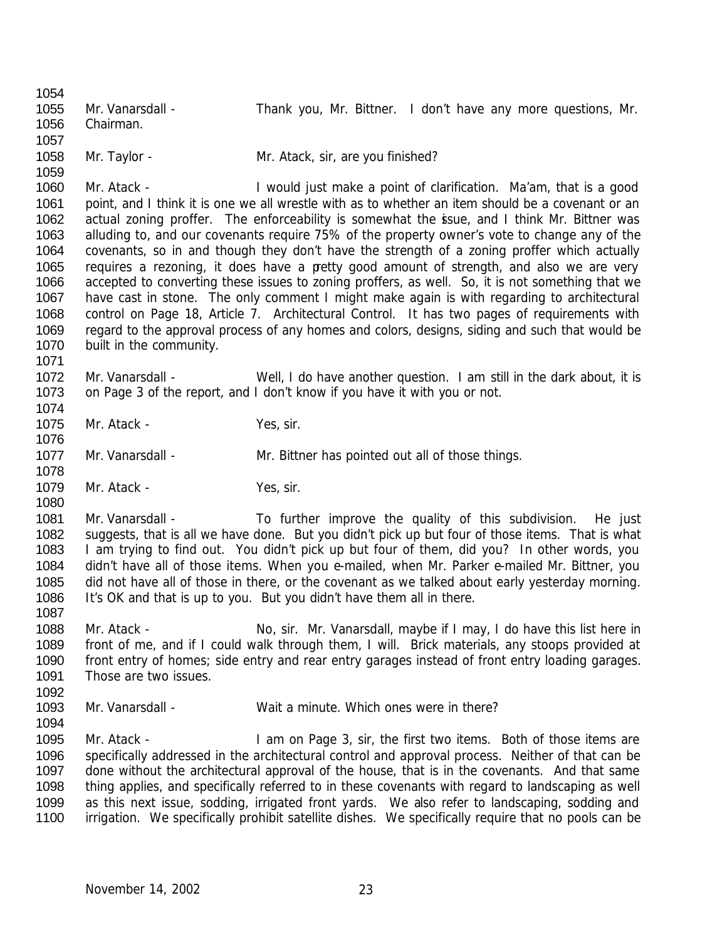Mr. Vanarsdall - Thank you, Mr. Bittner. I don't have any more questions, Mr. Chairman. 1058 Mr. Taylor - Mr. Atack, sir, are you finished? Mr. Atack - I would just make a point of clarification. Ma'am, that is a good 1061 point, and I think it is one we all wrestle with as to whether an item should be a covenant or an 1062 actual zoning proffer. The enforceability is somewhat the issue, and I think Mr. Bittner was alluding to, and our covenants require 75% of the property owner's vote to change any of the covenants, so in and though they don't have the strength of a zoning proffer which actually requires a rezoning, it does have a pretty good amount of strength, and also we are very accepted to converting these issues to zoning proffers, as well. So, it is not something that we have cast in stone. The only comment I might make again is with regarding to architectural control on Page 18, Article 7. Architectural Control. It has two pages of requirements with regard to the approval process of any homes and colors, designs, siding and such that would be built in the community. Mr. Vanarsdall - Well, I do have another question. I am still in the dark about, it is on Page 3 of the report, and I don't know if you have it with you or not. 1075 Mr. Atack - Yes, sir. 1077 Mr. Vanarsdall - Mr. Bittner has pointed out all of those things. 1079 Mr. Atack - Yes, sir. 1081 Mr. Vanarsdall - To further improve the quality of this subdivision. He just suggests, that is all we have done. But you didn't pick up but four of those items. That is what I am trying to find out. You didn't pick up but four of them, did you? In other words, you didn't have all of those items. When you e-mailed, when Mr. Parker e-mailed Mr. Bittner, you did not have all of those in there, or the covenant as we talked about early yesterday morning. It's OK and that is up to you. But you didn't have them all in there. 1088 Mr. Atack - No, sir. Mr. Vanarsdall, maybe if I may, I do have this list here in front of me, and if I could walk through them, I will. Brick materials, any stoops provided at front entry of homes; side entry and rear entry garages instead of front entry loading garages. 1091 Those are two issues. Mr. Vanarsdall - Wait a minute. Which ones were in there? Mr. Atack - I am on Page 3, sir, the first two items. Both of those items are specifically addressed in the architectural control and approval process. Neither of that can be done without the architectural approval of the house, that is in the covenants. And that same thing applies, and specifically referred to in these covenants with regard to landscaping as well as this next issue, sodding, irrigated front yards. We also refer to landscaping, sodding and irrigation. We specifically prohibit satellite dishes. We specifically require that no pools can be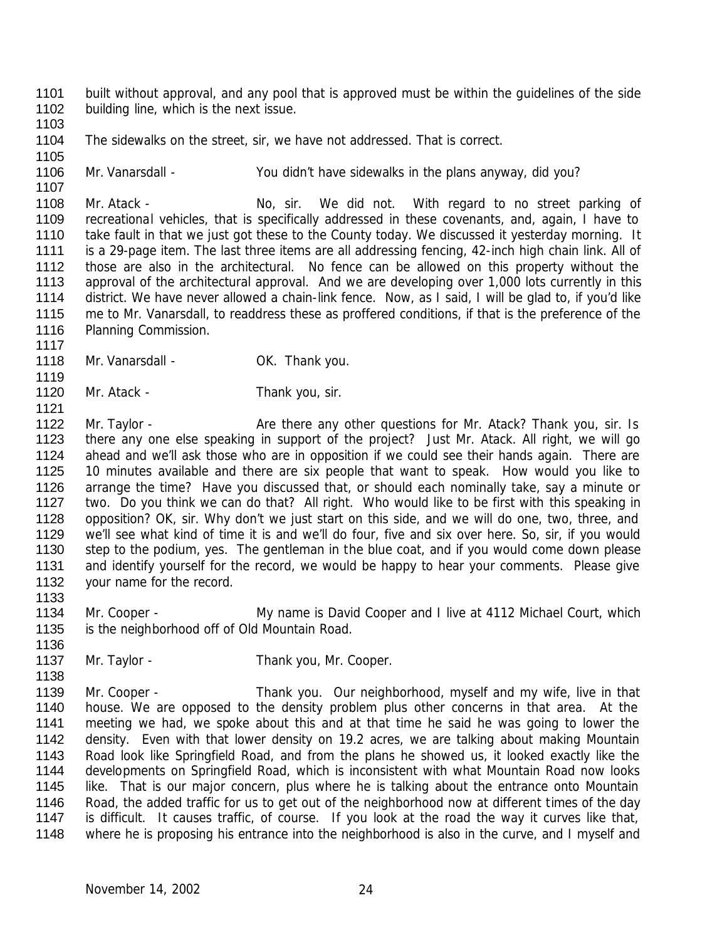built without approval, and any pool that is approved must be within the guidelines of the side 1102 building line, which is the next issue. 

The sidewalks on the street, sir, we have not addressed. That is correct.

Mr. Vanarsdall - You didn't have sidewalks in the plans anyway, did you?

1108 Mr. Atack - No, sir. We did not. With regard to no street parking of recreational vehicles, that is specifically addressed in these covenants, and, again, I have to take fault in that we just got these to the County today. We discussed it yesterday morning. It is a 29-page item. The last three items are all addressing fencing, 42-inch high chain link. All of those are also in the architectural. No fence can be allowed on this property without the approval of the architectural approval. And we are developing over 1,000 lots currently in this district. We have never allowed a chain-link fence. Now, as I said, I will be glad to, if you'd like me to Mr. Vanarsdall, to readdress these as proffered conditions, if that is the preference of the 1116 Planning Commission.

- 1118 Mr. Vanarsdall OK. Thank you.
- 1120 Mr. Atack - Thank you, sir.
- 1122 Mr. Taylor - Are there any other questions for Mr. Atack? Thank you, sir. Is there any one else speaking in support of the project? Just Mr. Atack. All right, we will go ahead and we'll ask those who are in opposition if we could see their hands again. There are 10 minutes available and there are six people that want to speak. How would you like to arrange the time? Have you discussed that, or should each nominally take, say a minute or two. Do you think we can do that? All right. Who would like to be first with this speaking in opposition? OK, sir. Why don't we just start on this side, and we will do one, two, three, and we'll see what kind of time it is and we'll do four, five and six over here. So, sir, if you would step to the podium, yes. The gentleman in the blue coat, and if you would come down please 1131 and identify yourself for the record, we would be happy to hear your comments. Please give 1132 your name for the record.
- 

- Mr. Cooper My name is David Cooper and I live at 4112 Michael Court, which is the neighborhood off of Old Mountain Road.
- 1137 Mr. Taylor Thank you, Mr. Cooper.
- Mr. Cooper Thank you. Our neighborhood, myself and my wife, live in that house. We are opposed to the density problem plus other concerns in that area. At the meeting we had, we spoke about this and at that time he said he was going to lower the density. Even with that lower density on 19.2 acres, we are talking about making Mountain Road look like Springfield Road, and from the plans he showed us, it looked exactly like the developments on Springfield Road, which is inconsistent with what Mountain Road now looks 1145 like. That is our major concern, plus where he is talking about the entrance onto Mountain Road, the added traffic for us to get out of the neighborhood now at different times of the day is difficult. It causes traffic, of course. If you look at the road the way it curves like that, 1148 where he is proposing his entrance into the neighborhood is also in the curve, and I myself and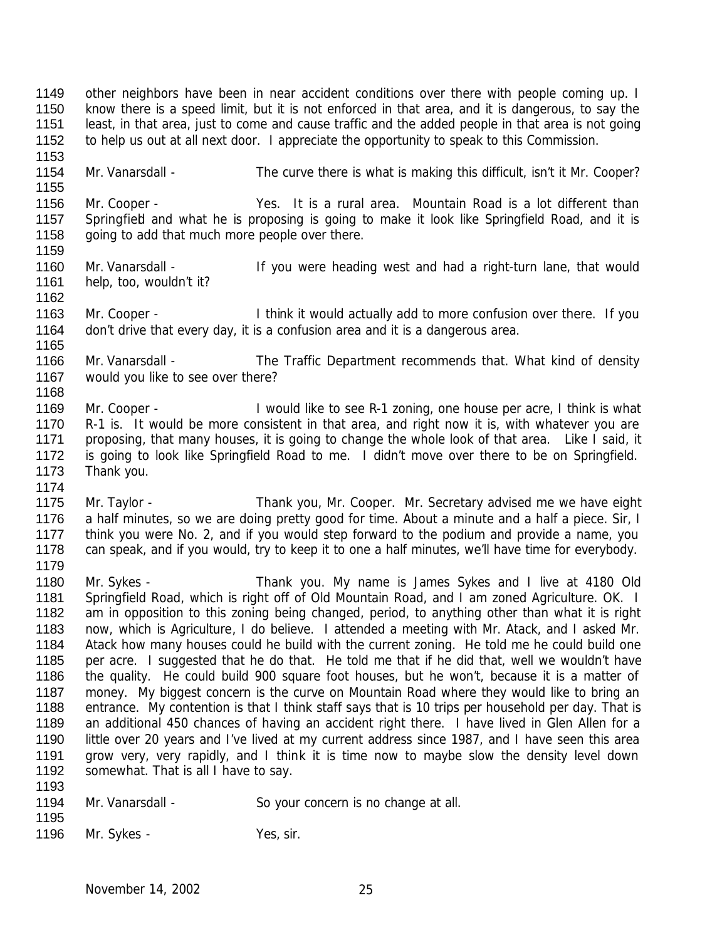other neighbors have been in near accident conditions over there with people coming up. I know there is a speed limit, but it is not enforced in that area, and it is dangerous, to say the least, in that area, just to come and cause traffic and the added people in that area is not going to help us out at all next door. I appreciate the opportunity to speak to this Commission. 

1154 Mr. Vanarsdall - The curve there is what is making this difficult, isn't it Mr. Cooper?

 Mr. Cooper - Yes. It is a rural area. Mountain Road is a lot different than 1157 Springfied and what he is proposing is going to make it look like Springfield Road, and it is 1158 going to add that much more people over there. 

- 1160 Mr. Vanarsdall If you were heading west and had a right-turn lane, that would help, too, wouldn't it?
- Mr. Cooper I think it would actually add to more confusion over there. If you don't drive that every day, it is a confusion area and it is a dangerous area.
- Mr. Vanarsdall The Traffic Department recommends that. What kind of density would you like to see over there?
- 1169 Mr. Cooper I would like to see R-1 zoning, one house per acre, I think is what R-1 is. It would be more consistent in that area, and right now it is, with whatever you are 1171 proposing, that many houses, it is going to change the whole look of that area. Like I said, it is going to look like Springfield Road to me. I didn't move over there to be on Springfield. Thank you.
- Mr. Taylor Thank you, Mr. Cooper. Mr. Secretary advised me we have eight 1176 a half minutes, so we are doing pretty good for time. About a minute and a half a piece. Sir, I 1177 think you were No. 2, and if you would step forward to the podium and provide a name, you can speak, and if you would, try to keep it to one a half minutes, we'll have time for everybody.
- Mr. Sykes Thank you. My name is James Sykes and I live at 4180 Old Springfield Road, which is right off of Old Mountain Road, and I am zoned Agriculture. OK. I am in opposition to this zoning being changed, period, to anything other than what it is right now, which is Agriculture, I do believe. I attended a meeting with Mr. Atack, and I asked Mr. Atack how many houses could he build with the current zoning. He told me he could build one per acre. I suggested that he do that. He told me that if he did that, well we wouldn't have the quality. He could build 900 square foot houses, but he won't, because it is a matter of 1187 money. My biggest concern is the curve on Mountain Road where they would like to bring an entrance. My contention is that I think staff says that is 10 trips per household per day. That is 1189 an additional 450 chances of having an accident right there. I have lived in Glen Allen for a little over 20 years and I've lived at my current address since 1987, and I have seen this area 1191 grow very, very rapidly, and I think it is time now to maybe slow the density level down 1192 somewhat. That is all I have to say.
- 1194 Mr. Vanarsdall So your concern is no change at all.
- 

1196 Mr. Sykes - Yes, sir.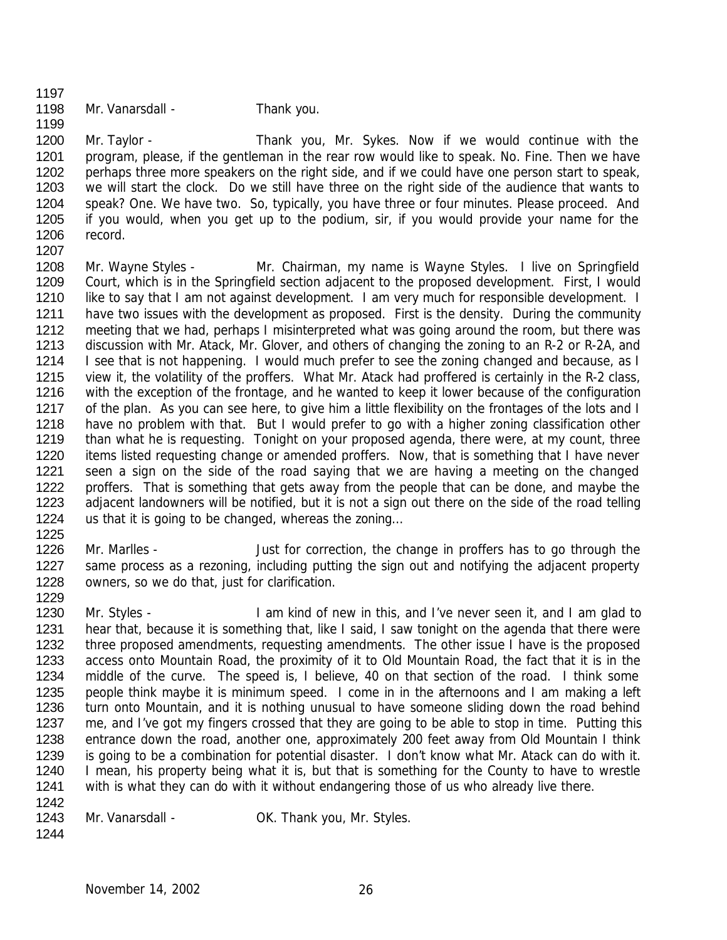- 
- 1198 Mr. Vanarsdall Thank you.

 Mr. Taylor - Thank you, Mr. Sykes. Now if we would continue with the 1201 program, please, if the gentleman in the rear row would like to speak. No. Fine. Then we have 1202 perhaps three more speakers on the right side, and if we could have one person start to speak, we will start the clock. Do we still have three on the right side of the audience that wants to speak? One. We have two. So, typically, you have three or four minutes. Please proceed. And if you would, when you get up to the podium, sir, if you would provide your name for the record. 

 Mr. Wayne Styles - Mr. Chairman, my name is Wayne Styles. I live on Springfield Court, which is in the Springfield section adjacent to the proposed development. First, I would 1210 like to say that I am not against development. I am very much for responsible development. I 1211 have two issues with the development as proposed. First is the density. During the community meeting that we had, perhaps I misinterpreted what was going around the room, but there was discussion with Mr. Atack, Mr. Glover, and others of changing the zoning to an R-2 or R-2A, and 1214 I see that is not happening. I would much prefer to see the zoning changed and because, as I view it, the volatility of the proffers. What Mr. Atack had proffered is certainly in the R-2 class, with the exception of the frontage, and he wanted to keep it lower because of the configuration 1217 of the plan. As you can see here, to give him a little flexibility on the frontages of the lots and I 1218 have no problem with that. But I would prefer to go with a higher zoning classification other than what he is requesting. Tonight on your proposed agenda, there were, at my count, three items listed requesting change or amended proffers. Now, that is something that I have never seen a sign on the side of the road saying that we are having a meeting on the changed 1222 proffers. That is something that gets away from the people that can be done, and maybe the adjacent landowners will be notified, but it is not a sign out there on the side of the road telling us that it is going to be changed, whereas the zoning…

1226 Mr. Marlles - Just for correction, the change in proffers has to go through the 1227 same process as a rezoning, including putting the sign out and notifying the adjacent property owners, so we do that, just for clarification.

1230 Mr. Styles - I am kind of new in this, and I've never seen it, and I am glad to 1231 hear that, because it is something that, like I said, I saw tonight on the agenda that there were 1232 three proposed amendments, requesting amendments. The other issue I have is the proposed access onto Mountain Road, the proximity of it to Old Mountain Road, the fact that it is in the middle of the curve. The speed is, I believe, 40 on that section of the road. I think some people think maybe it is minimum speed. I come in in the afternoons and I am making a left turn onto Mountain, and it is nothing unusual to have someone sliding down the road behind me, and I've got my fingers crossed that they are going to be able to stop in time. Putting this entrance down the road, another one, approximately 200 feet away from Old Mountain I think is going to be a combination for potential disaster. I don't know what Mr. Atack can do with it. 1240 I mean, his property being what it is, but that is something for the County to have to wrestle with is what they can do with it without endangering those of us who already live there. 

1243 Mr. Vanarsdall - OK. Thank you, Mr. Styles.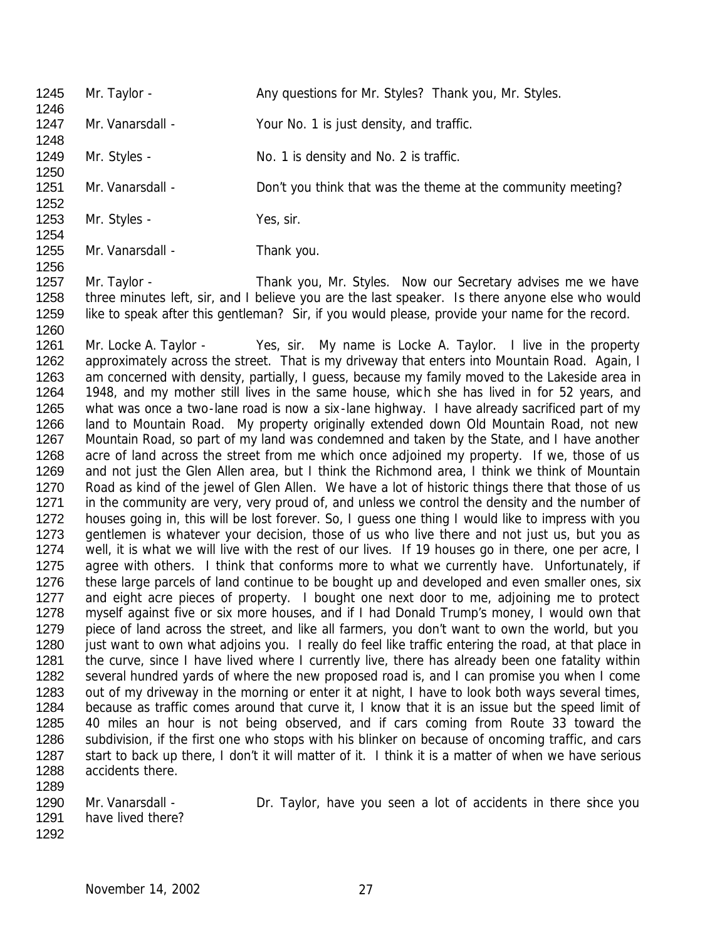| 1245<br>1246 | Mr. Taylor -     | Any questions for Mr. Styles? Thank you, Mr. Styles.                                                                                                           |
|--------------|------------------|----------------------------------------------------------------------------------------------------------------------------------------------------------------|
| 1247         | Mr. Vanarsdall - | Your No. 1 is just density, and traffic.                                                                                                                       |
| 1248<br>1249 | Mr. Styles -     | No. 1 is density and No. 2 is traffic.                                                                                                                         |
| 1250<br>1251 | Mr. Vanarsdall - | Don't you think that was the theme at the community meeting?                                                                                                   |
| 1252<br>1253 | Mr. Styles -     | Yes, sir.                                                                                                                                                      |
| 1254<br>1255 | Mr. Vanarsdall - | Thank you.                                                                                                                                                     |
| 1256<br>1257 |                  |                                                                                                                                                                |
| 1258         | Mr. Taylor -     | Thank you, Mr. Styles. Now our Secretary advises me we have<br>three minutes left, sir, and I believe you are the last speaker. Is there anyone else who would |
| 1259         |                  | like to speak after this gentleman? Sir, if you would please, provide your name for the record.                                                                |

 Mr. Locke A. Taylor - Yes, sir. My name is Locke A. Taylor. I live in the property 1262 approximately across the street. That is my driveway that enters into Mountain Road. Again, I 1263 am concerned with density, partially, I guess, because my family moved to the Lakeside area in 1948, and my mother still lives in the same house, which she has lived in for 52 years, and what was once a two-lane road is now a six-lane highway. I have already sacrificed part of my land to Mountain Road. My property originally extended down Old Mountain Road, not new Mountain Road, so part of my land was condemned and taken by the State, and I have another acre of land across the street from me which once adjoined my property. If we, those of us and not just the Glen Allen area, but I think the Richmond area, I think we think of Mountain Road as kind of the jewel of Glen Allen. We have a lot of historic things there that those of us 1271 in the community are very, very proud of, and unless we control the density and the number of houses going in, this will be lost forever. So, I guess one thing I would like to impress with you gentlemen is whatever your decision, those of us who live there and not just us, but you as well, it is what we will live with the rest of our lives. If 19 houses go in there, one per acre, I 1275 agree with others. I think that conforms more to what we currently have. Unfortunately, if 1276 these large parcels of land continue to be bought up and developed and even smaller ones, six 1277 and eight acre pieces of property. I bought one next door to me, adjoining me to protect myself against five or six more houses, and if I had Donald Trump's money, I would own that piece of land across the street, and like all farmers, you don't want to own the world, but you 1280 just want to own what adjoins you. I really do feel like traffic entering the road, at that place in 1281 the curve, since I have lived where I currently live, there has already been one fatality within several hundred yards of where the new proposed road is, and I can promise you when I come 1283 out of my driveway in the morning or enter it at night, I have to look both ways several times, because as traffic comes around that curve it, I know that it is an issue but the speed limit of 40 miles an hour is not being observed, and if cars coming from Route 33 toward the subdivision, if the first one who stops with his blinker on because of oncoming traffic, and cars 1287 start to back up there, I don't it will matter of it. I think it is a matter of when we have serious accidents there. 

1290 Mr. Vanarsdall - Dr. Taylor, have you seen a lot of accidents in there since you have lived there?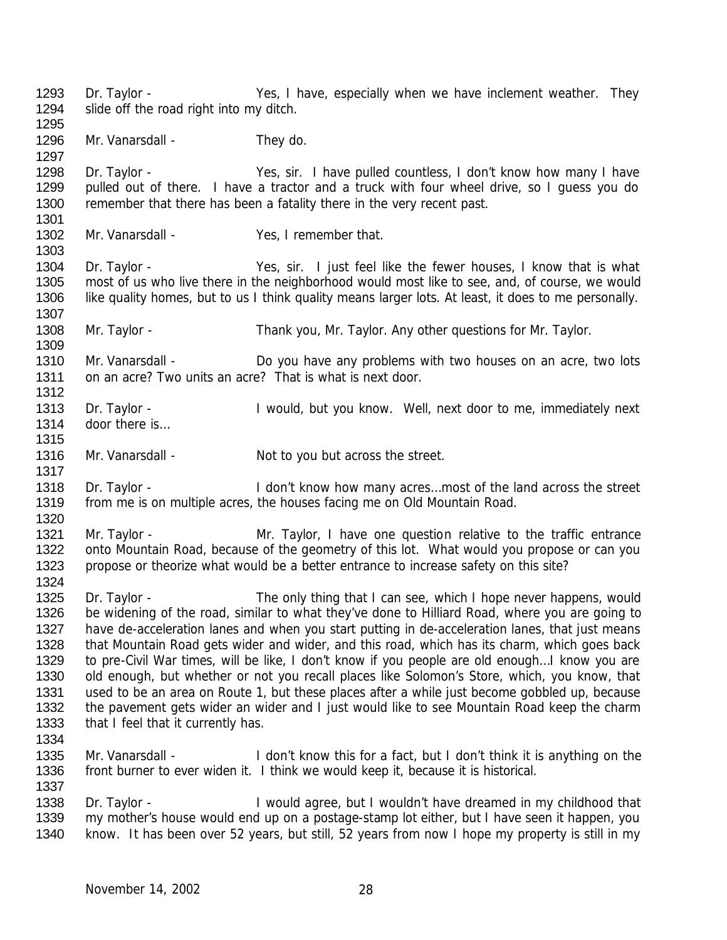1296 Mr. Vanarsdall - They do. Dr. Taylor - Yes, sir. I have pulled countless, I don't know how many I have pulled out of there. I have a tractor and a truck with four wheel drive, so I guess you do 1300 remember that there has been a fatality there in the very recent past. 1302 Mr. Vanarsdall - Yes, I remember that. Dr. Taylor - Yes, sir. I just feel like the fewer houses, I know that is what most of us who live there in the neighborhood would most like to see, and, of course, we would like quality homes, but to us I think quality means larger lots. At least, it does to me personally. 1308 Mr. Taylor - Thank you, Mr. Taylor. Any other questions for Mr. Taylor. Mr. Vanarsdall - Do you have any problems with two houses on an acre, two lots on an acre? Two units an acre? That is what is next door. 1313 Dr. Taylor - I would, but you know. Well, next door to me, immediately next 1314 door there is... 1316 Mr. Vanarsdall - Not to you but across the street. 

Dr. Taylor - Yes, I have, especially when we have inclement weather. They

slide off the road right into my ditch.

- 1318 Dr. Taylor I don't know how many acres...most of the land across the street from me is on multiple acres, the houses facing me on Old Mountain Road.
- Mr. Taylor Mr. Taylor, I have one question relative to the traffic entrance onto Mountain Road, because of the geometry of this lot. What would you propose or can you propose or theorize what would be a better entrance to increase safety on this site?
- 1325 Dr. Taylor The only thing that I can see, which I hope never happens, would be widening of the road, similar to what they've done to Hilliard Road, where you are going to 1327 have de-acceleration lanes and when you start putting in de-acceleration lanes, that just means that Mountain Road gets wider and wider, and this road, which has its charm, which goes back to pre-Civil War times, will be like, I don't know if you people are old enough…I know you are old enough, but whether or not you recall places like Solomon's Store, which, you know, that used to be an area on Route 1, but these places after a while just become gobbled up, because the pavement gets wider an wider and I just would like to see Mountain Road keep the charm 1333 that I feel that it currently has.
- 

1335 Mr. Vanarsdall - I don't know this for a fact, but I don't think it is anything on the front burner to ever widen it. I think we would keep it, because it is historical. 

1338 Dr. Taylor - I would agree, but I wouldn't have dreamed in my childhood that my mother's house would end up on a postage-stamp lot either, but I have seen it happen, you know. It has been over 52 years, but still, 52 years from now I hope my property is still in my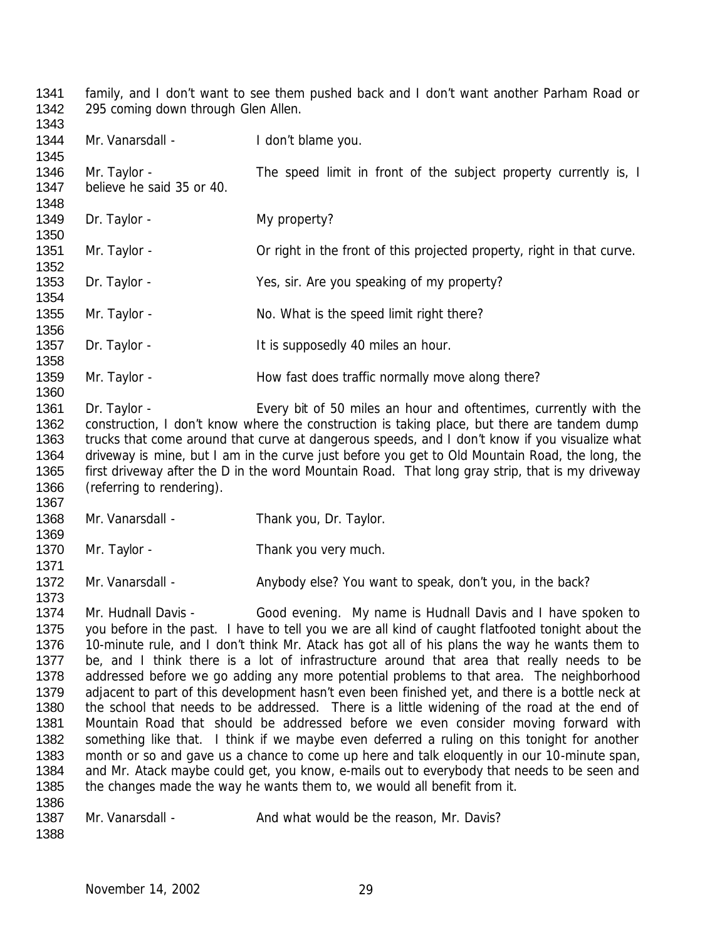1341 family, and I don't want to see them pushed back and I don't want another Parham Road or 295 coming down through Glen Allen. 1342<br>1343

| 1344<br>1345                                                                                                 | Mr. Vanarsdall -                          | I don't blame you.                                                                                                                                                                                                                                                                                                                                                                                                                                                                                                                                                                                                                                                                                                                                                                                                                                                                                                                                                                                                                                                                                                                                                        |
|--------------------------------------------------------------------------------------------------------------|-------------------------------------------|---------------------------------------------------------------------------------------------------------------------------------------------------------------------------------------------------------------------------------------------------------------------------------------------------------------------------------------------------------------------------------------------------------------------------------------------------------------------------------------------------------------------------------------------------------------------------------------------------------------------------------------------------------------------------------------------------------------------------------------------------------------------------------------------------------------------------------------------------------------------------------------------------------------------------------------------------------------------------------------------------------------------------------------------------------------------------------------------------------------------------------------------------------------------------|
| 1346<br>1347<br>1348                                                                                         | Mr. Taylor -<br>believe he said 35 or 40. | The speed limit in front of the subject property currently is, I                                                                                                                                                                                                                                                                                                                                                                                                                                                                                                                                                                                                                                                                                                                                                                                                                                                                                                                                                                                                                                                                                                          |
| 1349<br>1350                                                                                                 | Dr. Taylor -                              | My property?                                                                                                                                                                                                                                                                                                                                                                                                                                                                                                                                                                                                                                                                                                                                                                                                                                                                                                                                                                                                                                                                                                                                                              |
| 1351<br>1352                                                                                                 | Mr. Taylor -                              | Or right in the front of this projected property, right in that curve.                                                                                                                                                                                                                                                                                                                                                                                                                                                                                                                                                                                                                                                                                                                                                                                                                                                                                                                                                                                                                                                                                                    |
| 1353<br>1354                                                                                                 | Dr. Taylor -                              | Yes, sir. Are you speaking of my property?                                                                                                                                                                                                                                                                                                                                                                                                                                                                                                                                                                                                                                                                                                                                                                                                                                                                                                                                                                                                                                                                                                                                |
| 1355                                                                                                         | Mr. Taylor -                              | No. What is the speed limit right there?                                                                                                                                                                                                                                                                                                                                                                                                                                                                                                                                                                                                                                                                                                                                                                                                                                                                                                                                                                                                                                                                                                                                  |
| 1356<br>1357                                                                                                 | Dr. Taylor -                              | It is supposedly 40 miles an hour.                                                                                                                                                                                                                                                                                                                                                                                                                                                                                                                                                                                                                                                                                                                                                                                                                                                                                                                                                                                                                                                                                                                                        |
| 1358<br>1359<br>1360                                                                                         | Mr. Taylor -                              | How fast does traffic normally move along there?                                                                                                                                                                                                                                                                                                                                                                                                                                                                                                                                                                                                                                                                                                                                                                                                                                                                                                                                                                                                                                                                                                                          |
| 1361<br>1362<br>1363<br>1364<br>1365<br>1366                                                                 | Dr. Taylor -<br>(referring to rendering). | Every bit of 50 miles an hour and oftentimes, currently with the<br>construction, I don't know where the construction is taking place, but there are tandem dump<br>trucks that come around that curve at dangerous speeds, and I don't know if you visualize what<br>driveway is mine, but I am in the curve just before you get to Old Mountain Road, the long, the<br>first driveway after the D in the word Mountain Road. That long gray strip, that is my driveway                                                                                                                                                                                                                                                                                                                                                                                                                                                                                                                                                                                                                                                                                                  |
| 1367<br>1368                                                                                                 | Mr. Vanarsdall -                          | Thank you, Dr. Taylor.                                                                                                                                                                                                                                                                                                                                                                                                                                                                                                                                                                                                                                                                                                                                                                                                                                                                                                                                                                                                                                                                                                                                                    |
| 1369<br>1370<br>1371                                                                                         | Mr. Taylor -                              | Thank you very much.                                                                                                                                                                                                                                                                                                                                                                                                                                                                                                                                                                                                                                                                                                                                                                                                                                                                                                                                                                                                                                                                                                                                                      |
| 1372<br>1373                                                                                                 | Mr. Vanarsdall -                          | Anybody else? You want to speak, don't you, in the back?                                                                                                                                                                                                                                                                                                                                                                                                                                                                                                                                                                                                                                                                                                                                                                                                                                                                                                                                                                                                                                                                                                                  |
| 1374<br>1375<br>1376<br>1377<br>1378<br>1379<br>1380<br>1381<br>1382<br>1383<br>1384<br>1385<br>1386<br>1387 | Mr. Hudnall Davis -<br>Mr. Vanarsdall -   | Good evening. My name is Hudnall Davis and I have spoken to<br>you before in the past. I have to tell you we are all kind of caught flatfooted tonight about the<br>10-minute rule, and I don't think Mr. Atack has got all of his plans the way he wants them to<br>be, and I think there is a lot of infrastructure around that area that really needs to be<br>addressed before we go adding any more potential problems to that area. The neighborhood<br>adjacent to part of this development hasn't even been finished yet, and there is a bottle neck at<br>the school that needs to be addressed. There is a little widening of the road at the end of<br>Mountain Road that should be addressed before we even consider moving forward with<br>something like that. I think if we maybe even deferred a ruling on this tonight for another<br>month or so and gave us a chance to come up here and talk eloquently in our 10-minute span,<br>and Mr. Atack maybe could get, you know, e-mails out to everybody that needs to be seen and<br>the changes made the way he wants them to, we would all benefit from it.<br>And what would be the reason, Mr. Davis? |
| 1388                                                                                                         |                                           |                                                                                                                                                                                                                                                                                                                                                                                                                                                                                                                                                                                                                                                                                                                                                                                                                                                                                                                                                                                                                                                                                                                                                                           |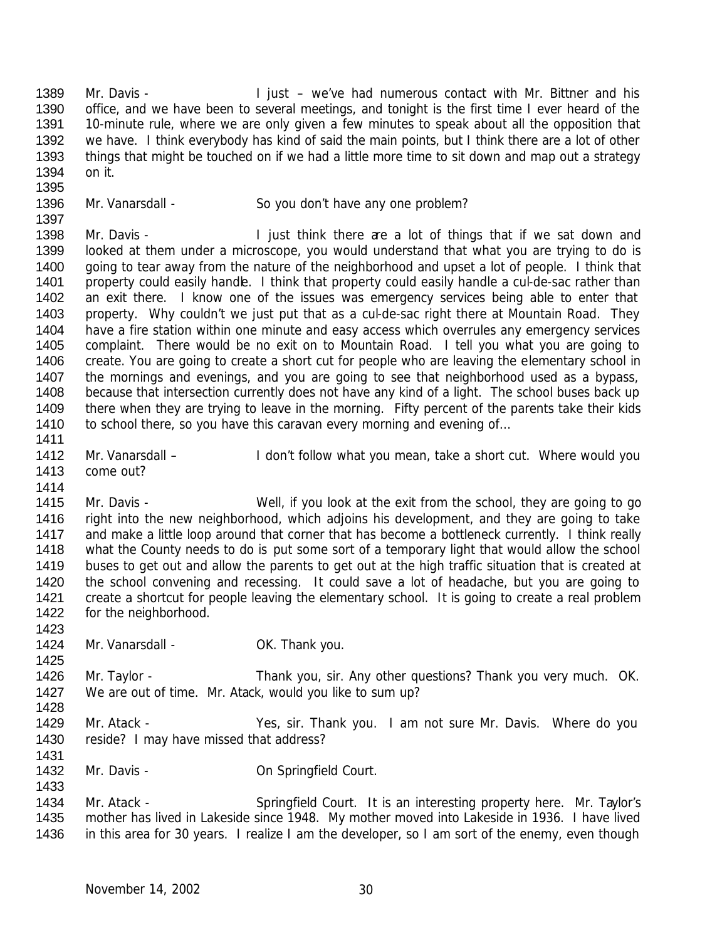1389 Mr. Davis - I just – we've had numerous contact with Mr. Bittner and his office, and we have been to several meetings, and tonight is the first time I ever heard of the 10-minute rule, where we are only given a few minutes to speak about all the opposition that we have. I think everybody has kind of said the main points, but I think there are a lot of other 1393 things that might be touched on if we had a little more time to sit down and map out a strategy on it.

1396 Mr. Vanarsdall - So you don't have any one problem?

 1398 Mr. Davis - I just think there are a lot of things that if we sat down and looked at them under a microscope, you would understand that what you are trying to do is 1400 going to tear away from the nature of the neighborhood and upset a lot of people. I think that 1401 property could easily handle. I think that property could easily handle a cul-de-sac rather than an exit there. I know one of the issues was emergency services being able to enter that 1403 property. Why couldn't we just put that as a cul-de-sac right there at Mountain Road. They have a fire station within one minute and easy access which overrules any emergency services complaint. There would be no exit on to Mountain Road. I tell you what you are going to create. You are going to create a short cut for people who are leaving the elementary school in the mornings and evenings, and you are going to see that neighborhood used as a bypass, because that intersection currently does not have any kind of a light. The school buses back up 1409 there when they are trying to leave in the morning. Fifty percent of the parents take their kids 1410 to school there, so you have this caravan every morning and evening of... 

1412 Mr. Vanarsdall – I don't follow what you mean, take a short cut. Where would you come out?

 Mr. Davis - Well, if you look at the exit from the school, they are going to go right into the new neighborhood, which adjoins his development, and they are going to take and make a little loop around that corner that has become a bottleneck currently. I think really what the County needs to do is put some sort of a temporary light that would allow the school buses to get out and allow the parents to get out at the high traffic situation that is created at the school convening and recessing. It could save a lot of headache, but you are going to create a shortcut for people leaving the elementary school. It is going to create a real problem for the neighborhood. 

1424 Mr. Vanarsdall - OK. Thank you. 

1426 Mr. Taylor - Thank you, sir. Any other questions? Thank you very much. OK. We are out of time. Mr. Atack, would you like to sum up? 

1429 Mr. Atack - Yes, sir. Thank you. I am not sure Mr. Davis. Where do you reside? I may have missed that address?

1432 Mr. Davis - Carl Con Springfield Court.

1434 Mr. Atack - Springfield Court. It is an interesting property here. Mr. Taylor's mother has lived in Lakeside since 1948. My mother moved into Lakeside in 1936. I have lived in this area for 30 years. I realize I am the developer, so I am sort of the enemy, even though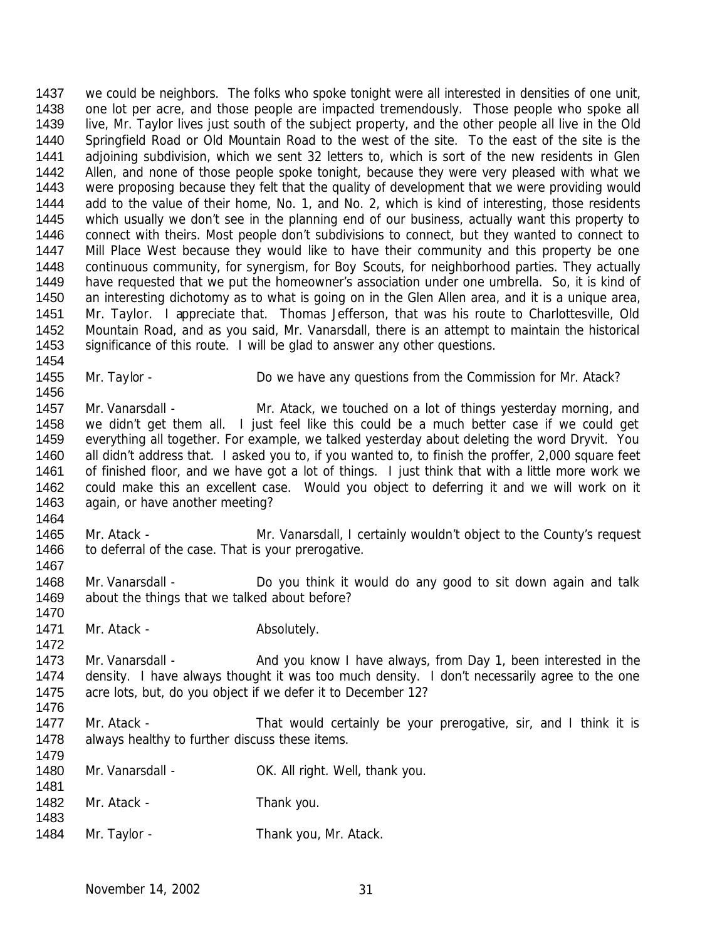1437 we could be neighbors. The folks who spoke tonight were all interested in densities of one unit, 1438 one lot per acre, and those people are impacted tremendously. Those people who spoke all live, Mr. Taylor lives just south of the subject property, and the other people all live in the Old Springfield Road or Old Mountain Road to the west of the site. To the east of the site is the adjoining subdivision, which we sent 32 letters to, which is sort of the new residents in Glen 1442 Allen, and none of those people spoke tonight, because they were very pleased with what we were proposing because they felt that the quality of development that we were providing would add to the value of their home, No. 1, and No. 2, which is kind of interesting, those residents which usually we don't see in the planning end of our business, actually want this property to connect with theirs. Most people don't subdivisions to connect, but they wanted to connect to 1447 Mill Place West because they would like to have their community and this property be one continuous community, for synergism, for Boy Scouts, for neighborhood parties. They actually have requested that we put the homeowner's association under one umbrella. So, it is kind of an interesting dichotomy as to what is going on in the Glen Allen area, and it is a unique area, Mr. Taylor. I appreciate that. Thomas Jefferson, that was his route to Charlottesville, Old Mountain Road, and as you said, Mr. Vanarsdall, there is an attempt to maintain the historical significance of this route. I will be glad to answer any other questions. 

- 1455 Mr. Taylor Do we have any questions from the Commission for Mr. Atack?
- 1457 Mr. Vanarsdall Mr. Atack, we touched on a lot of things yesterday morning, and we didn't get them all. I just feel like this could be a much better case if we could get everything all together. For example, we talked yesterday about deleting the word Dryvit. You all didn't address that. I asked you to, if you wanted to, to finish the proffer, 2,000 square feet of finished floor, and we have got a lot of things. I just think that with a little more work we could make this an excellent case. Would you object to deferring it and we will work on it again, or have another meeting?
- Mr. Atack Mr. Vanarsdall, I certainly wouldn't object to the County's request 1466 to deferral of the case. That is your prerogative.
- Mr. Vanarsdall Do you think it would do any good to sit down again and talk about the things that we talked about before?
- 1471 Mr. Atack Absolutely.

- 1473 Mr. Vanarsdall And you know I have always, from Day 1, been interested in the density. I have always thought it was too much density. I don't necessarily agree to the one acre lots, but, do you object if we defer it to December 12?
- 1477 Mr. Atack That would certainly be your prerogative, sir, and I think it is 1478 always healthy to further discuss these items.
- 1480 Mr. Vanarsdall CK. All right. Well, thank you.
- 1482 Mr. Atack Thank you.
- 1484 Mr. Taylor Thank you, Mr. Atack.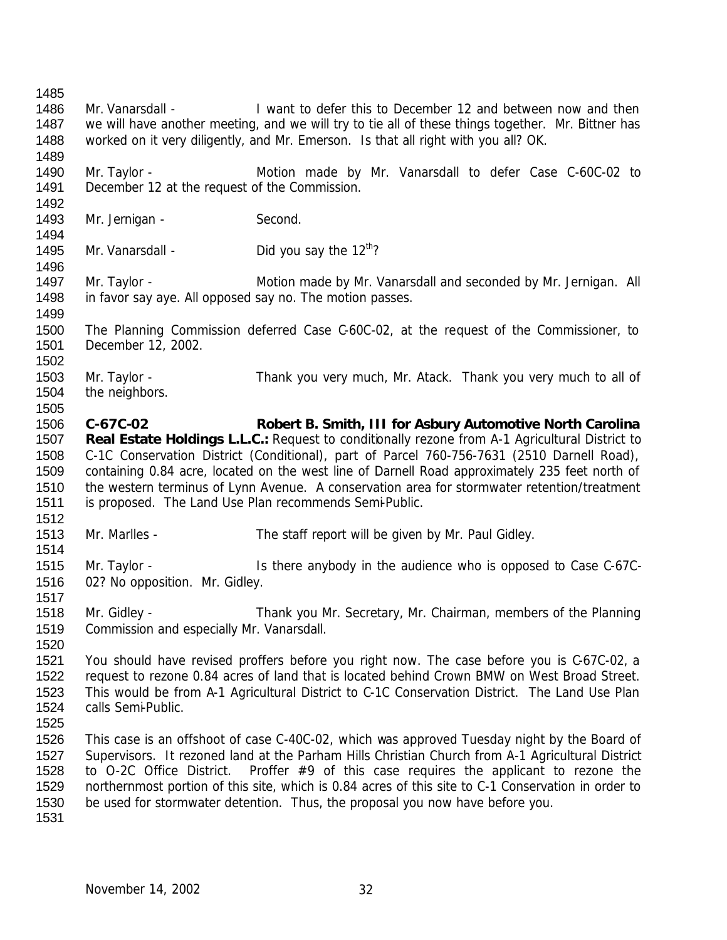Mr. Vanarsdall - I want to defer this to December 12 and between now and then we will have another meeting, and we will try to tie all of these things together. Mr. Bittner has worked on it very diligently, and Mr. Emerson. Is that all right with you all? OK. Mr. Taylor - Motion made by Mr. Vanarsdall to defer Case C-60C-02 to December 12 at the request of the Commission. 1493 Mr. Jernigan - Second. 1495 Mr. Vanarsdall - Did you say the  $12^{th}$ ? Mr. Taylor - Motion made by Mr. Vanarsdall and seconded by Mr. Jernigan. All in favor say aye. All opposed say no. The motion passes. The Planning Commission deferred Case C-60C-02, at the request of the Commissioner, to December 12, 2002. Mr. Taylor - Thank you very much, Mr. Atack. Thank you very much to all of 1504 the neighbors. **C-67C-02 Robert B. Smith, III for Asbury Automotive North Carolina Real Estate Holdings L.L.C.:** Request to conditionally rezone from A-1 Agricultural District to C-1C Conservation District (Conditional), part of Parcel 760-756-7631 (2510 Darnell Road), containing 0.84 acre, located on the west line of Darnell Road approximately 235 feet north of the western terminus of Lynn Avenue. A conservation area for stormwater retention/treatment is proposed. The Land Use Plan recommends Semi-Public. Mr. Marlles - The staff report will be given by Mr. Paul Gidley. Mr. Taylor - Is there anybody in the audience who is opposed to Case C-67C- 02? No opposition. Mr. Gidley. Mr. Gidley - Thank you Mr. Secretary, Mr. Chairman, members of the Planning Commission and especially Mr. Vanarsdall. You should have revised proffers before you right now. The case before you is C-67C-02, a request to rezone 0.84 acres of land that is located behind Crown BMW on West Broad Street. This would be from A-1 Agricultural District to C-1C Conservation District. The Land Use Plan calls Semi-Public. This case is an offshoot of case C-40C-02, which was approved Tuesday night by the Board of Supervisors. It rezoned land at the Parham Hills Christian Church from A-1 Agricultural District to O-2C Office District. Proffer #9 of this case requires the applicant to rezone the northernmost portion of this site, which is 0.84 acres of this site to C-1 Conservation in order to be used for stormwater detention. Thus, the proposal you now have before you.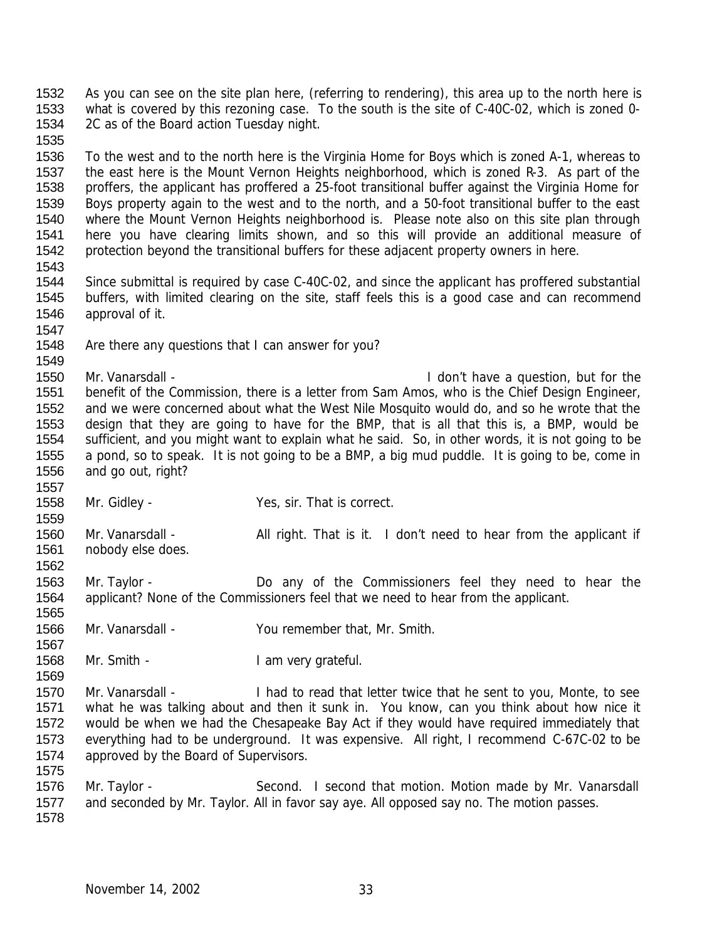As you can see on the site plan here, (referring to rendering), this area up to the north here is what is covered by this rezoning case. To the south is the site of C-40C-02, which is zoned 0- 2C as of the Board action Tuesday night. To the west and to the north here is the Virginia Home for Boys which is zoned A-1, whereas to the east here is the Mount Vernon Heights neighborhood, which is zoned R-3. As part of the proffers, the applicant has proffered a 25-foot transitional buffer against the Virginia Home for Boys property again to the west and to the north, and a 50-foot transitional buffer to the east where the Mount Vernon Heights neighborhood is. Please note also on this site plan through here you have clearing limits shown, and so this will provide an additional measure of protection beyond the transitional buffers for these adjacent property owners in here. Since submittal is required by case C-40C-02, and since the applicant has proffered substantial buffers, with limited clearing on the site, staff feels this is a good case and can recommend approval of it. Are there any questions that I can answer for you? Mr. Vanarsdall - I don't have a question, but for the benefit of the Commission, there is a letter from Sam Amos, who is the Chief Design Engineer, and we were concerned about what the West Nile Mosquito would do, and so he wrote that the design that they are going to have for the BMP, that is all that this is, a BMP, would be sufficient, and you might want to explain what he said. So, in other words, it is not going to be a pond, so to speak. It is not going to be a BMP, a big mud puddle. It is going to be, come in and go out, right? Mr. Gidley - Yes, sir. That is correct. 1560 Mr. Vanarsdall - All right. That is it. I don't need to hear from the applicant if nobody else does. Mr. Taylor - Do any of the Commissioners feel they need to hear the applicant? None of the Commissioners feel that we need to hear from the applicant. Mr. Vanarsdall - You remember that, Mr. Smith. 1568 Mr. Smith - I am very grateful. Mr. Vanarsdall - I had to read that letter twice that he sent to you, Monte, to see what he was talking about and then it sunk in. You know, can you think about how nice it would be when we had the Chesapeake Bay Act if they would have required immediately that everything had to be underground. It was expensive. All right, I recommend C-67C-02 to be 1574 approved by the Board of Supervisors. 1576 Mr. Taylor - Second. I second that motion. Motion made by Mr. Vanarsdall 1577 and seconded by Mr. Taylor. All in favor say aye. All opposed say no. The motion passes.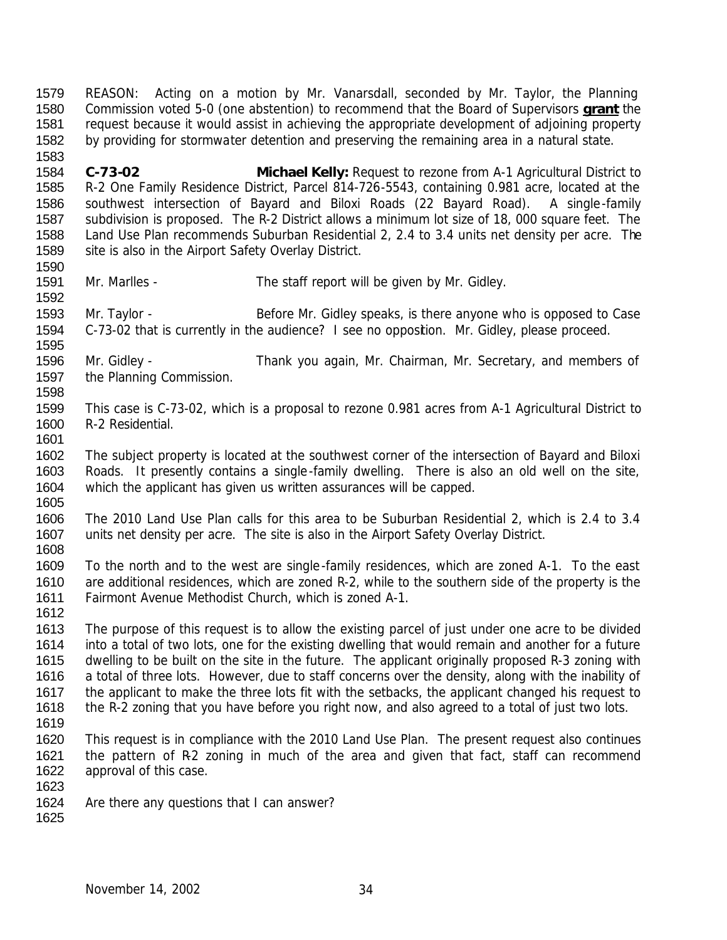REASON: Acting on a motion by Mr. Vanarsdall, seconded by Mr. Taylor, the Planning Commission voted 5-0 (one abstention) to recommend that the Board of Supervisors **grant** the request because it would assist in achieving the appropriate development of adjoining property by providing for stormwater detention and preserving the remaining area in a natural state.

 **C-73-02 Michael Kelly:** Request to rezone from A-1 Agricultural District to R-2 One Family Residence District, Parcel 814-726-5543, containing 0.981 acre, located at the southwest intersection of Bayard and Biloxi Roads (22 Bayard Road). A single-family subdivision is proposed. The R-2 District allows a minimum lot size of 18, 000 square feet. The Land Use Plan recommends Suburban Residential 2, 2.4 to 3.4 units net density per acre. The site is also in the Airport Safety Overlay District.

Mr. Marlles - The staff report will be given by Mr. Gidley.

 Mr. Taylor - Before Mr. Gidley speaks, is there anyone who is opposed to Case C-73-02 that is currently in the audience? I see no opposition. Mr. Gidley, please proceed. 

 Mr. Gidley - Thank you again, Mr. Chairman, Mr. Secretary, and members of the Planning Commission.

- This case is C-73-02, which is a proposal to rezone 0.981 acres from A-1 Agricultural District to R-2 Residential.
- The subject property is located at the southwest corner of the intersection of Bayard and Biloxi Roads. It presently contains a single-family dwelling. There is also an old well on the site, which the applicant has given us written assurances will be capped.
- The 2010 Land Use Plan calls for this area to be Suburban Residential 2, which is 2.4 to 3.4 units net density per acre. The site is also in the Airport Safety Overlay District.
- To the north and to the west are single-family residences, which are zoned A-1. To the east are additional residences, which are zoned R-2, while to the southern side of the property is the Fairmont Avenue Methodist Church, which is zoned A-1.
- The purpose of this request is to allow the existing parcel of just under one acre to be divided into a total of two lots, one for the existing dwelling that would remain and another for a future dwelling to be built on the site in the future. The applicant originally proposed R-3 zoning with a total of three lots. However, due to staff concerns over the density, along with the inability of 1617 the applicant to make the three lots fit with the setbacks, the applicant changed his request to the R-2 zoning that you have before you right now, and also agreed to a total of just two lots.
- This request is in compliance with the 2010 Land Use Plan. The present request also continues 1621 the pattern of R2 zoning in much of the area and given that fact, staff can recommend approval of this case.
- Are there any questions that I can answer?
-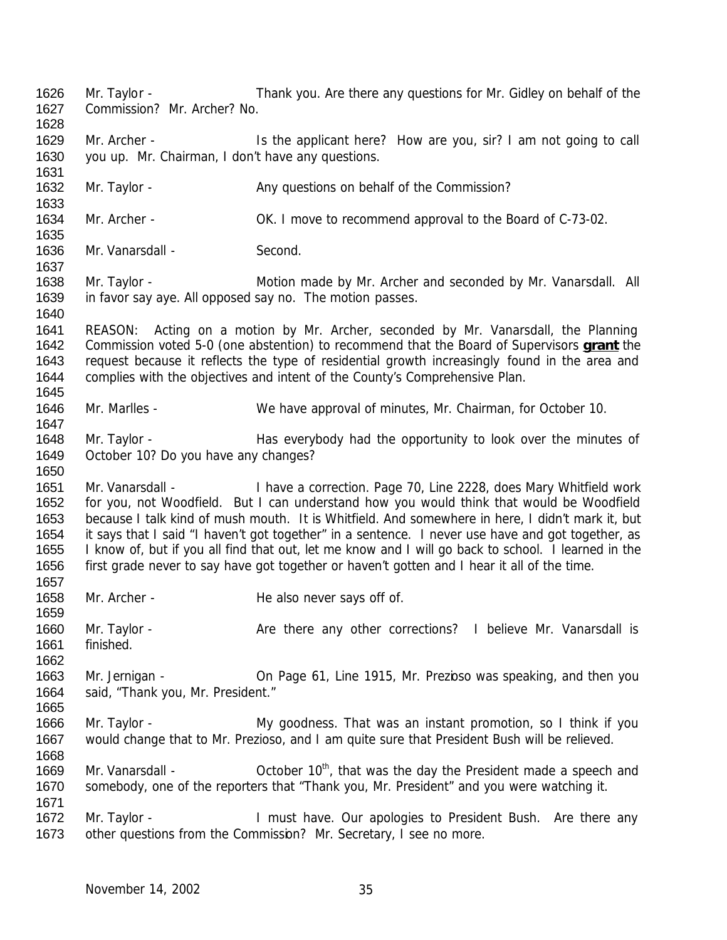Mr. Taylor - Thank you. Are there any questions for Mr. Gidley on behalf of the Commission? Mr. Archer? No. 1629 Mr. Archer - Is the applicant here? How are you, sir? I am not going to call you up. Mr. Chairman, I don't have any questions. 1632 Mr. Taylor - Any questions on behalf of the Commission? 1634 Mr. Archer - CK. I move to recommend approval to the Board of C-73-02. Mr. Vanarsdall - Second. Mr. Taylor - Motion made by Mr. Archer and seconded by Mr. Vanarsdall. All in favor say aye. All opposed say no. The motion passes. REASON: Acting on a motion by Mr. Archer, seconded by Mr. Vanarsdall, the Planning Commission voted 5-0 (one abstention) to recommend that the Board of Supervisors **grant** the request because it reflects the type of residential growth increasingly found in the area and complies with the objectives and intent of the County's Comprehensive Plan. Mr. Marlles - We have approval of minutes, Mr. Chairman, for October 10. Mr. Taylor - Has everybody had the opportunity to look over the minutes of October 10? Do you have any changes? Mr. Vanarsdall - I have a correction. Page 70, Line 2228, does Mary Whitfield work for you, not Woodfield. But I can understand how you would think that would be Woodfield because I talk kind of mush mouth. It is Whitfield. And somewhere in here, I didn't mark it, but it says that I said "I haven't got together" in a sentence. I never use have and got together, as I know of, but if you all find that out, let me know and I will go back to school. I learned in the first grade never to say have got together or haven't gotten and I hear it all of the time. 1658 Mr. Archer - He also never says off of. 1660 Mr. Taylor - Are there any other corrections? I believe Mr. Vanarsdall is finished. Mr. Jernigan - On Page 61, Line 1915, Mr. Prezioso was speaking, and then you said, "Thank you, Mr. President." 1666 Mr. Taylor - My goodness. That was an instant promotion, so I think if you would change that to Mr. Prezioso, and I am quite sure that President Bush will be relieved. 1669 Mr. Vanarsdall -  $October 10<sup>th</sup>$ , that was the day the President made a speech and somebody, one of the reporters that "Thank you, Mr. President" and you were watching it. 1672 Mr. Taylor - I must have. Our apologies to President Bush. Are there any other questions from the Commission? Mr. Secretary, I see no more.